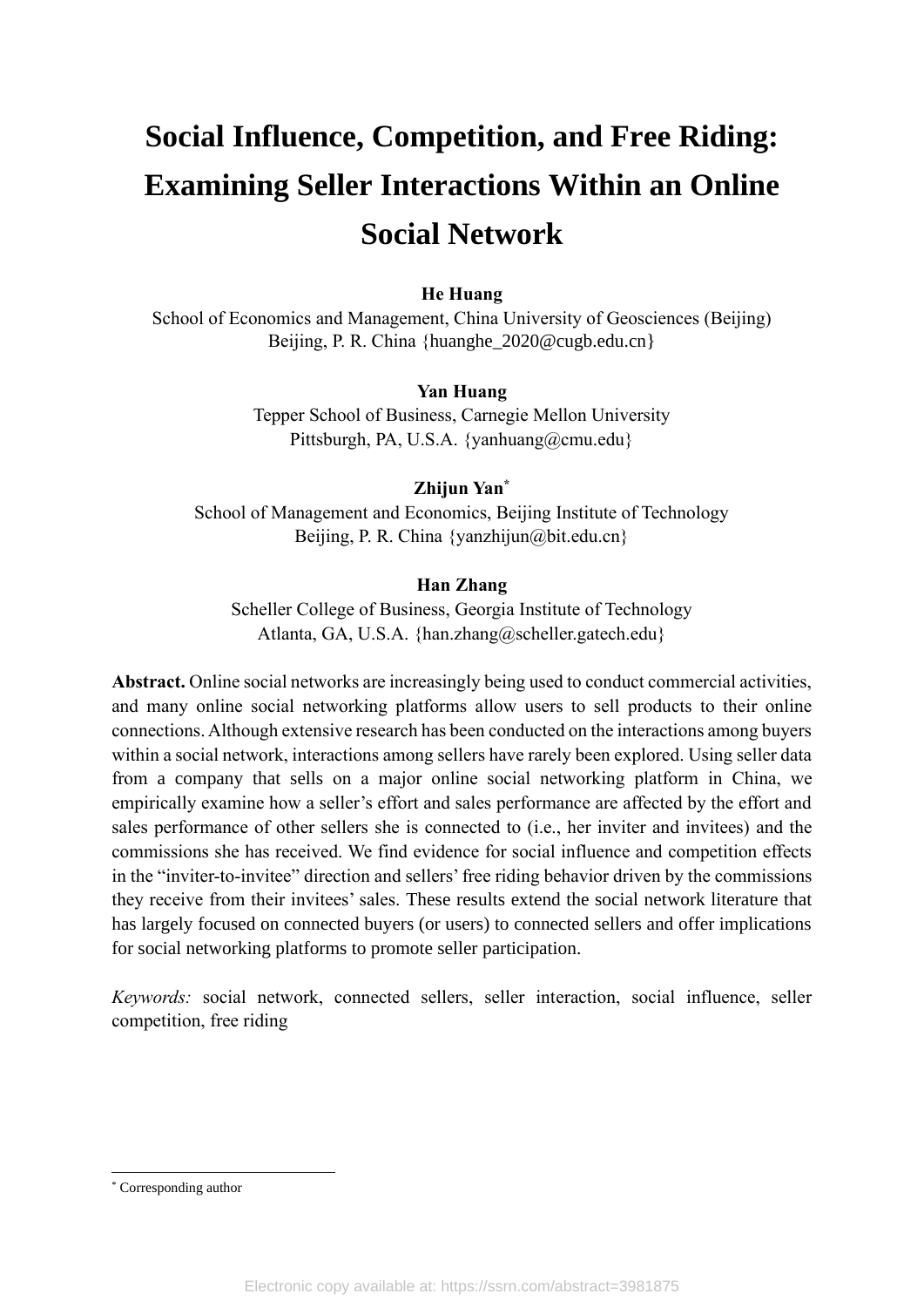# **Social Influence, Competition, and Free Riding: Examining Seller Interactions Within an Online Social Network**

# **He Huang**

School of Economics and Management, China University of Geosciences (Beijing) Beijing, P. R. China {huanghe\_2020@cugb.edu.cn}

## **Yan Huang**

Tepper School of Business, Carnegie Mellon University Pittsburgh, PA, U.S.A. {yanhuang@cmu.edu}

## **Zhijun Yan\***

School of Management and Economics, Beijing Institute of Technology Beijing, P. R. China  $\{vanzhijun@bit.edu.cn\}$ 

## **Han Zhang**

Scheller College of Business, Georgia Institute of Technology Atlanta, GA, U.S.A. {han.zhang@scheller.gatech.edu}

**Abstract.** Online social networks are increasingly being used to conduct commercial activities, and many online social networking platforms allow users to sell products to their online connections. Although extensive research has been conducted on the interactions among buyers within a social network, interactions among sellers have rarely been explored. Using seller data from a company that sells on a major online social networking platform in China, we empirically examine how a seller's effort and sales performance are affected by the effort and sales performance of other sellers she is connected to (i.e., her inviter and invitees) and the commissions she has received. We find evidence for social influence and competition effects in the "inviter-to-invitee" direction and sellers' free riding behavior driven by the commissions they receive from their invitees' sales. These results extend the social network literature that has largely focused on connected buyers (or users) to connected sellers and offer implications for social networking platforms to promote seller participation.

*Keywords:* social network, connected sellers, seller interaction, social influence, seller competition, free riding

<sup>\*</sup> Corresponding author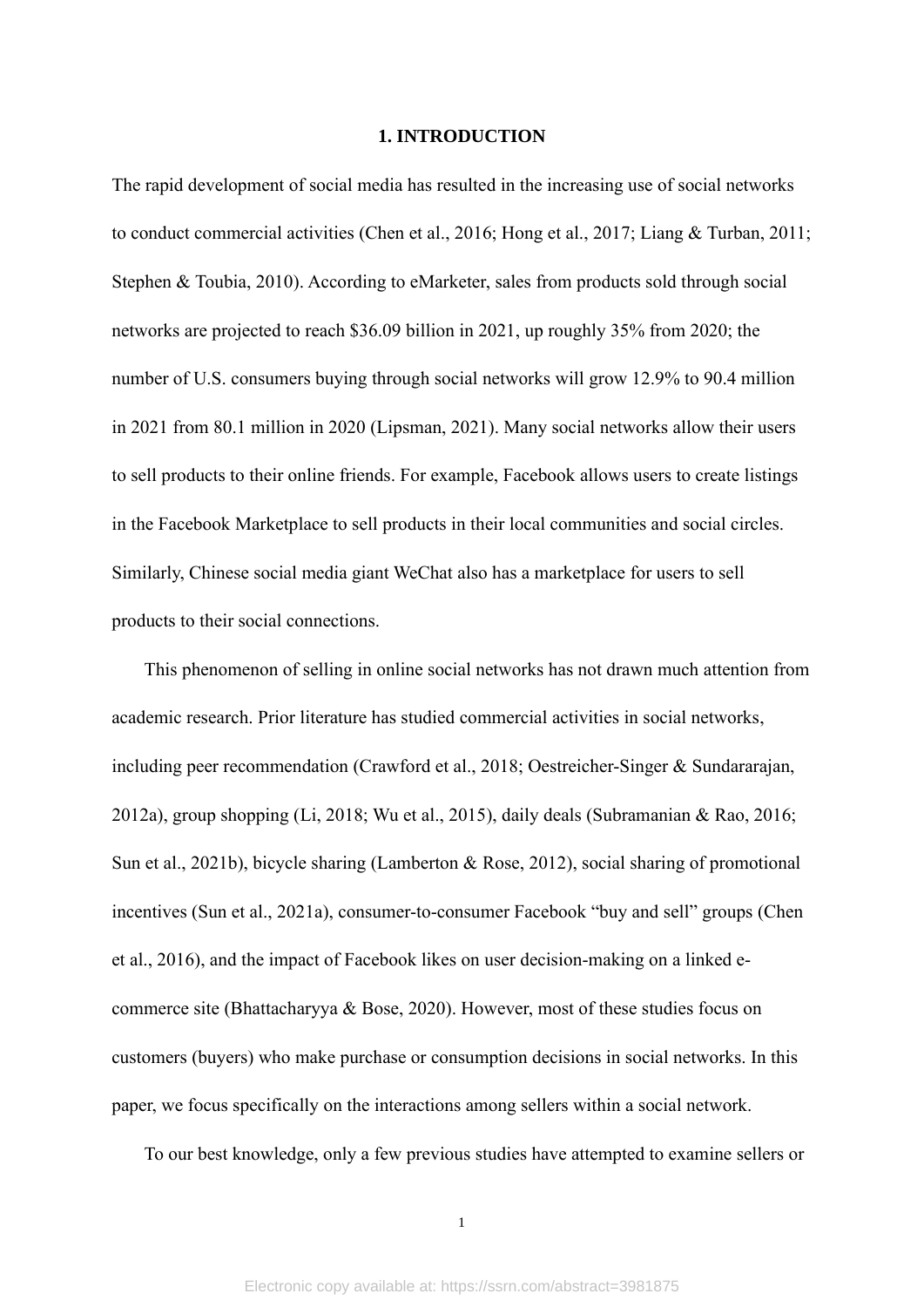#### **1. INTRODUCTION**

The rapid development of social media has resulted in the increasing use of social networks to conduct commercial activities (Chen et al., 2016; Hong et al., 2017; Liang & Turban, 2011; Stephen & Toubia, 2010). According to eMarketer, sales from products sold through social networks are projected to reach \$36.09 billion in 2021, up roughly 35% from 2020; the number of U.S. consumers buying through social networks will grow 12.9% to 90.4 million in 2021 from 80.1 million in 2020 (Lipsman, 2021). Many social networks allow their users to sell products to their online friends. For example, Facebook allows users to create listings in the Facebook Marketplace to sell products in their local communities and social circles. Similarly, Chinese social media giant WeChat also has a marketplace for users to sell products to their social connections.

This phenomenon of selling in online social networks has not drawn much attention from academic research. Prior literature has studied commercial activities in social networks, including peer recommendation (Crawford et al., 2018; Oestreicher-Singer & Sundararajan, 2012a), group shopping (Li, 2018; Wu et al., 2015), daily deals (Subramanian & Rao, 2016; Sun et al., 2021b), bicycle sharing (Lamberton & Rose, 2012), social sharing of promotional incentives (Sun et al., 2021a), consumer-to-consumer Facebook "buy and sell" groups (Chen et al., 2016), and the impact of Facebook likes on user decision-making on a linked ecommerce site (Bhattacharyya & Bose, 2020). However, most of these studies focus on customers (buyers) who make purchase or consumption decisions in social networks. In this paper, we focus specifically on the interactions among sellers within a social network.

To our best knowledge, only a few previous studies have attempted to examine sellers or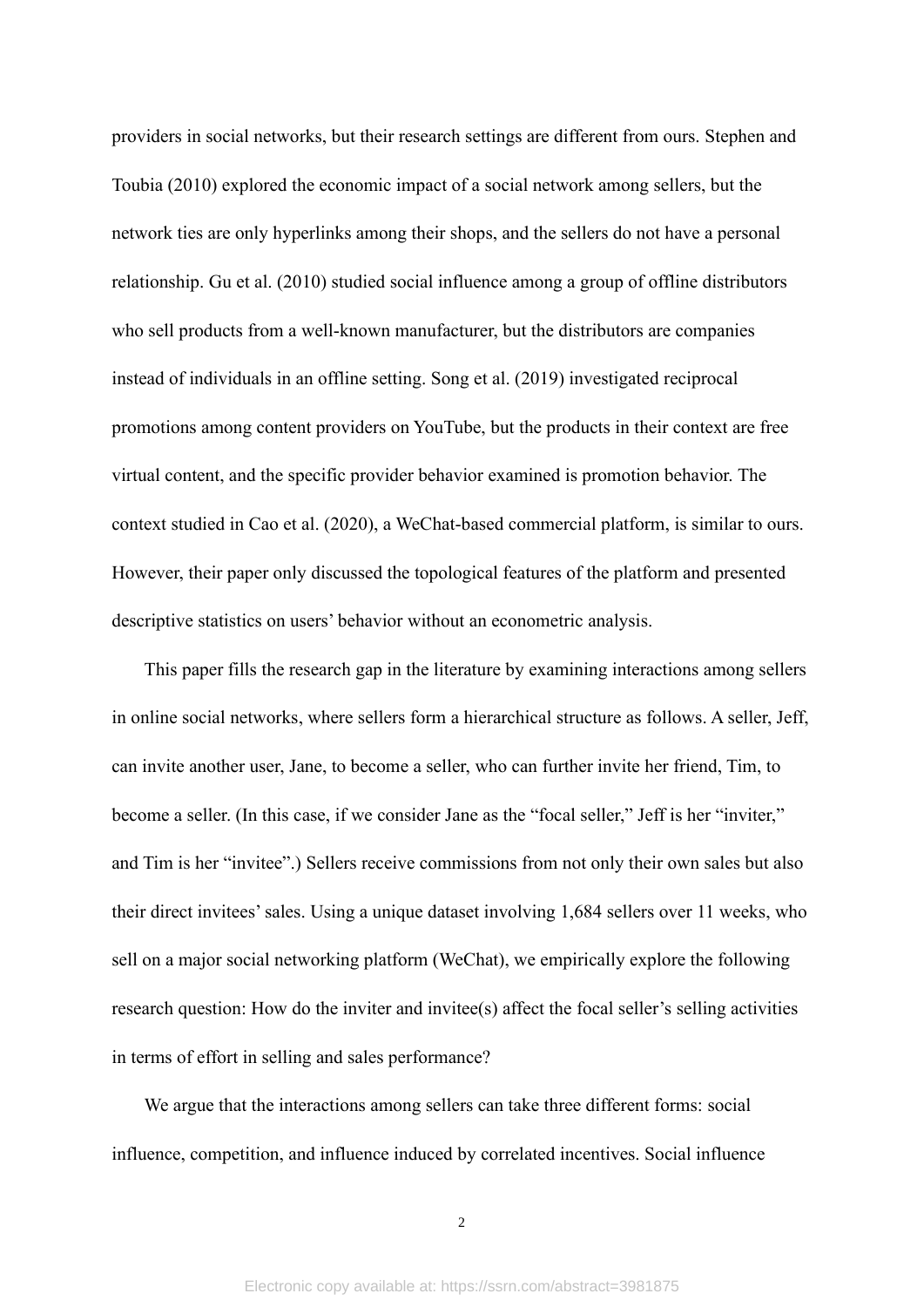providers in social networks, but their research settings are different from ours. Stephen and Toubia (2010) explored the economic impact of a social network among sellers, but the network ties are only hyperlinks among their shops, and the sellers do not have a personal relationship. Gu et al. (2010) studied social influence among a group of offline distributors who sell products from a well-known manufacturer, but the distributors are companies instead of individuals in an offline setting. Song et al. (2019) investigated reciprocal promotions among content providers on YouTube, but the products in their context are free virtual content, and the specific provider behavior examined is promotion behavior. The context studied in Cao et al. (2020), a WeChat-based commercial platform, is similar to ours. However, their paper only discussed the topological features of the platform and presented descriptive statistics on users' behavior without an econometric analysis.

This paper fills the research gap in the literature by examining interactions among sellers in online social networks, where sellers form a hierarchical structure as follows. A seller, Jeff, can invite another user, Jane, to become a seller, who can further invite her friend, Tim, to become a seller. (In this case, if we consider Jane as the "focal seller," Jeff is her "inviter," and Tim is her "invitee".) Sellers receive commissions from not only their own sales but also their direct invitees' sales. Using a unique dataset involving 1,684 sellers over 11 weeks, who sell on a major social networking platform (WeChat), we empirically explore the following research question: How do the inviter and invitee(s) affect the focal seller's selling activities in terms of effort in selling and sales performance?

We argue that the interactions among sellers can take three different forms: social influence, competition, and influence induced by correlated incentives. Social influence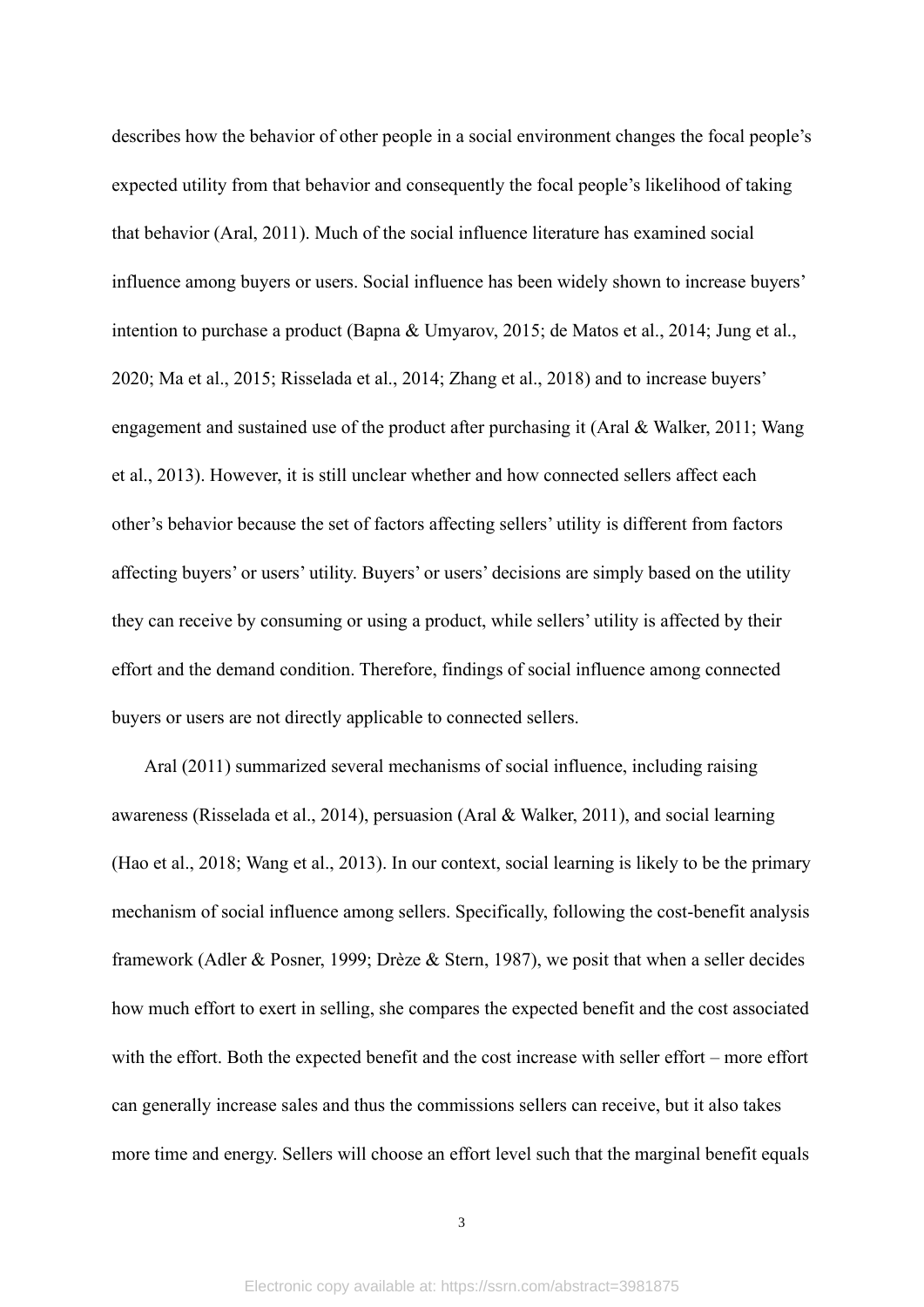describes how the behavior of other people in a social environment changes the focal people's expected utility from that behavior and consequently the focal people's likelihood of taking that behavior (Aral, 2011). Much of the social influence literature has examined social influence among buyers or users. Social influence has been widely shown to increase buyers' intention to purchase a product (Bapna & Umyarov, 2015; de Matos et al., 2014; Jung et al., 2020; Ma et al., 2015; Risselada et al., 2014; Zhang et al., 2018) and to increase buyers' engagement and sustained use of the product after purchasing it (Aral & Walker, 2011; Wang et al., 2013). However, it is still unclear whether and how connected sellers affect each other's behavior because the set of factors affecting sellers' utility is different from factors affecting buyers' or users' utility. Buyers' or users' decisions are simply based on the utility they can receive by consuming or using a product, while sellers' utility is affected by their effort and the demand condition. Therefore, findings of social influence among connected buyers or users are not directly applicable to connected sellers.

Aral (2011) summarized several mechanisms of social influence, including raising awareness (Risselada et al., 2014), persuasion (Aral & Walker, 2011), and social learning (Hao et al., 2018; Wang et al., 2013). In our context, social learning is likely to be the primary mechanism of social influence among sellers. Specifically, following the cost-benefit analysis framework (Adler & Posner, 1999; Drèze & Stern, 1987), we posit that when a seller decides how much effort to exert in selling, she compares the expected benefit and the cost associated with the effort. Both the expected benefit and the cost increase with seller effort – more effort can generally increase sales and thus the commissions sellers can receive, but it also takes more time and energy. Sellers will choose an effort level such that the marginal benefit equals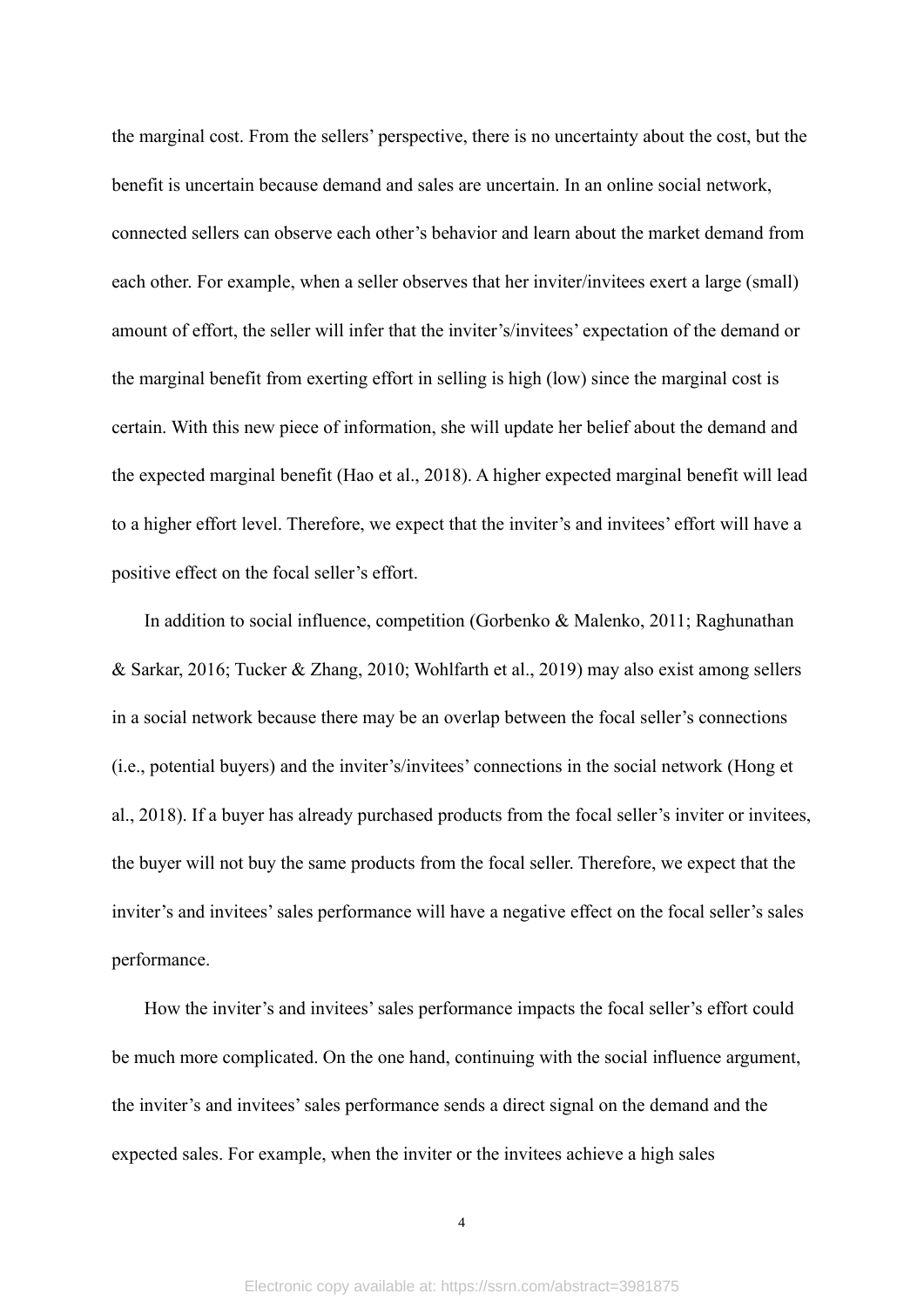the marginal cost. From the sellers' perspective, there is no uncertainty about the cost, but the benefit is uncertain because demand and sales are uncertain. In an online social network, connected sellers can observe each other's behavior and learn about the market demand from each other. For example, when a seller observes that her inviter/invitees exert a large (small) amount of effort, the seller will infer that the inviter's/invitees' expectation of the demand or the marginal benefit from exerting effort in selling is high (low) since the marginal cost is certain. With this new piece of information, she will update her belief about the demand and the expected marginal benefit (Hao et al., 2018). A higher expected marginal benefit will lead to a higher effort level. Therefore, we expect that the inviter's and invitees' effort will have a positive effect on the focal seller's effort.

In addition to social influence, competition (Gorbenko & Malenko, 2011; Raghunathan & Sarkar, 2016; Tucker & Zhang, 2010; Wohlfarth et al., 2019) may also exist among sellers in a social network because there may be an overlap between the focal seller's connections (i.e., potential buyers) and the inviter's/invitees' connections in the social network (Hong et al., 2018). If a buyer has already purchased products from the focal seller's inviter or invitees, the buyer will not buy the same products from the focal seller. Therefore, we expect that the inviter's and invitees' sales performance will have a negative effect on the focal seller's sales performance.

How the inviter's and invitees' sales performance impacts the focal seller's effort could be much more complicated. On the one hand, continuing with the social influence argument, the inviter's and invitees' sales performance sends a direct signal on the demand and the expected sales. For example, when the inviter or the invitees achieve a high sales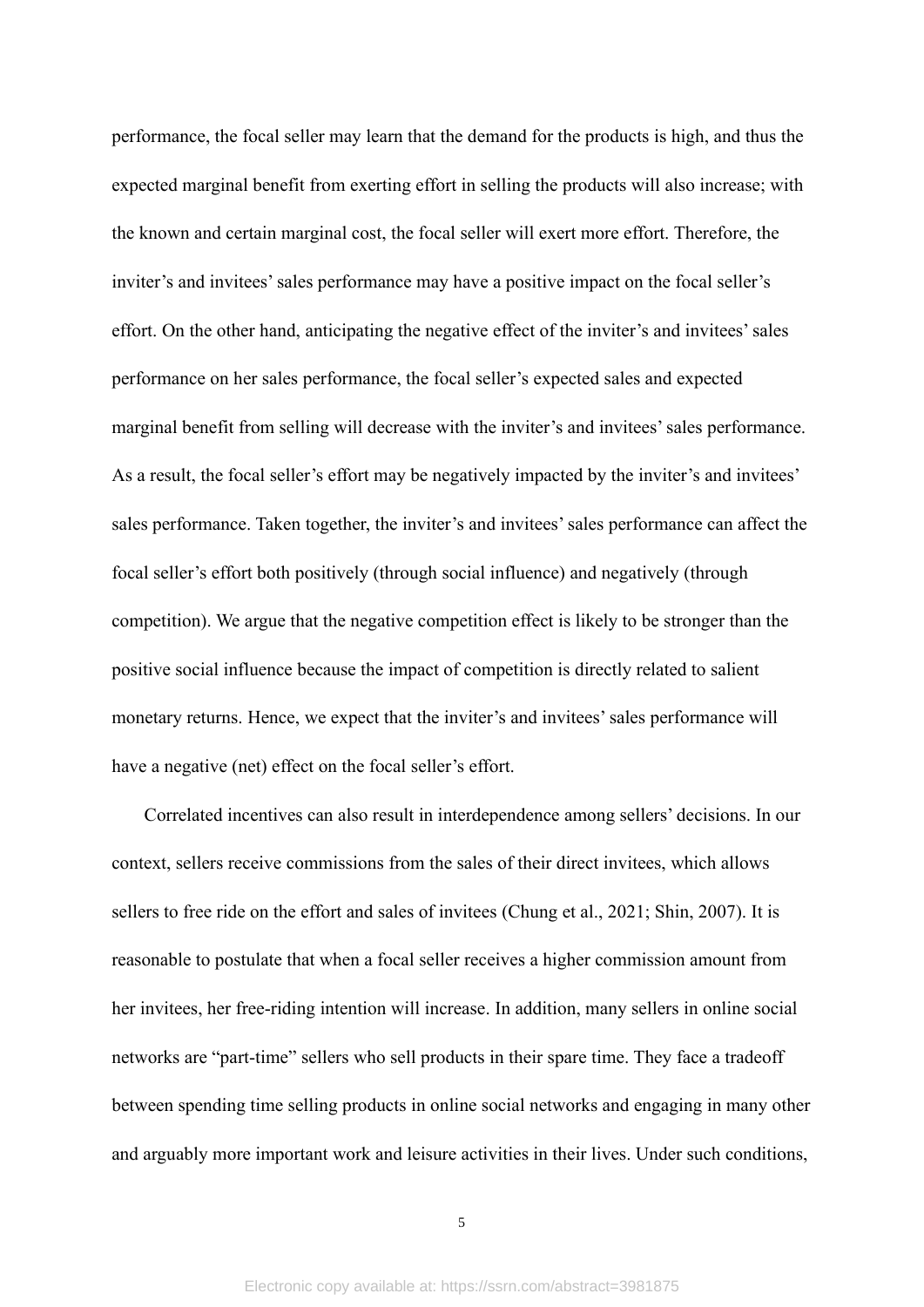performance, the focal seller may learn that the demand for the products is high, and thus the expected marginal benefit from exerting effort in selling the products will also increase; with the known and certain marginal cost, the focal seller will exert more effort. Therefore, the inviter's and invitees' sales performance may have a positive impact on the focal seller's effort. On the other hand, anticipating the negative effect of the inviter's and invitees' sales performance on her sales performance, the focal seller's expected sales and expected marginal benefit from selling will decrease with the inviter's and invitees' sales performance. As a result, the focal seller's effort may be negatively impacted by the inviter's and invitees' sales performance. Taken together, the inviter's and invitees' sales performance can affect the focal seller's effort both positively (through social influence) and negatively (through competition). We argue that the negative competition effect is likely to be stronger than the positive social influence because the impact of competition is directly related to salient monetary returns. Hence, we expect that the inviter's and invitees' sales performance will have a negative (net) effect on the focal seller's effort.

Correlated incentives can also result in interdependence among sellers' decisions. In our context, sellers receive commissions from the sales of their direct invitees, which allows sellers to free ride on the effort and sales of invitees (Chung et al., 2021; Shin, 2007). It is reasonable to postulate that when a focal seller receives a higher commission amount from her invitees, her free-riding intention will increase. In addition, many sellers in online social networks are "part-time" sellers who sell products in their spare time. They face a tradeoff between spending time selling products in online social networks and engaging in many other and arguably more important work and leisure activities in their lives. Under such conditions,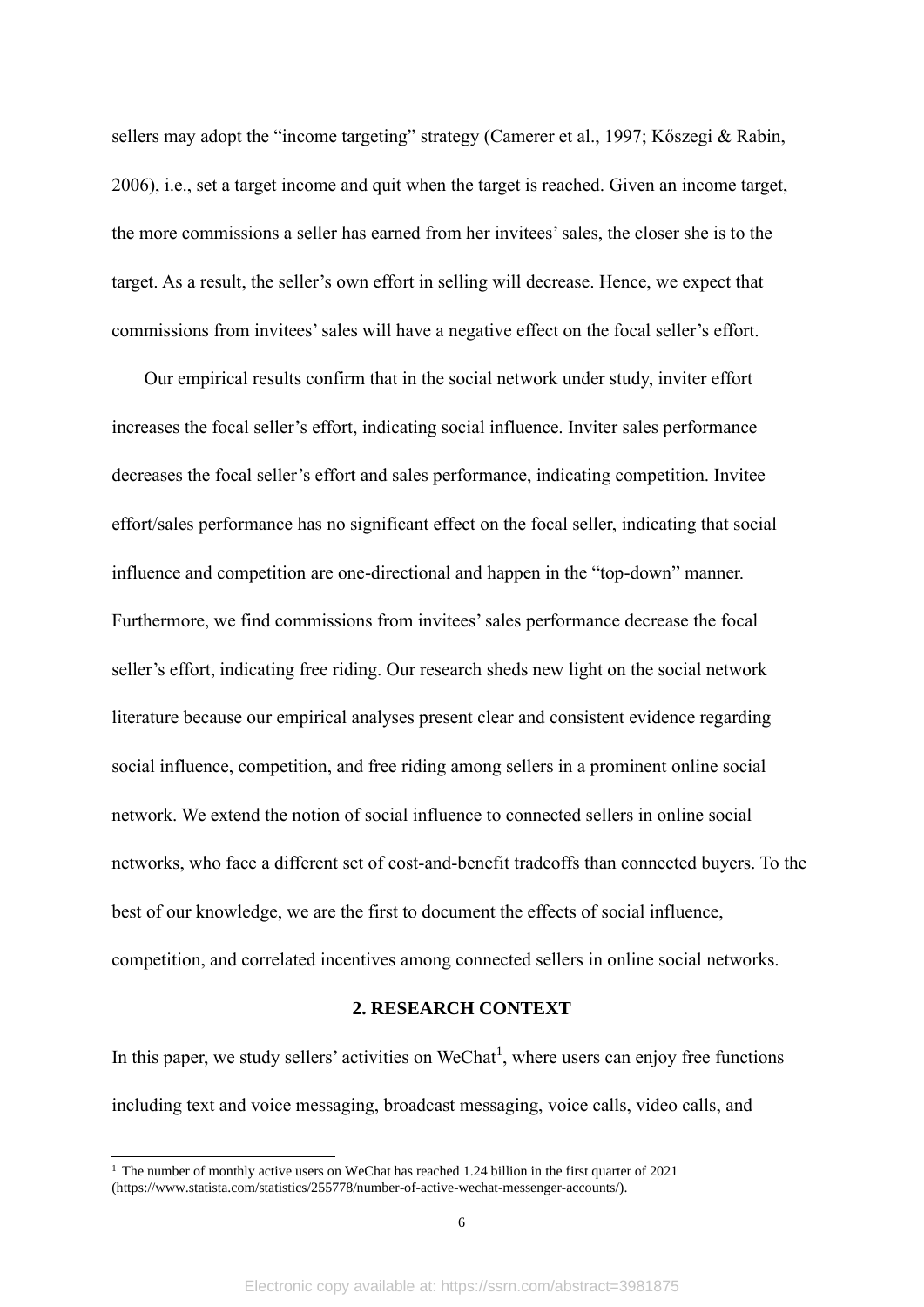sellers may adopt the "income targeting" strategy (Camerer et al., 1997; Kőszegi & Rabin, 2006), i.e., set a target income and quit when the target is reached. Given an income target, the more commissions a seller has earned from her invitees' sales, the closer she is to the target. As a result, the seller's own effort in selling will decrease. Hence, we expect that commissions from invitees' sales will have a negative effect on the focal seller's effort.

Our empirical results confirm that in the social network under study, inviter effort increases the focal seller's effort, indicating social influence. Inviter sales performance decreases the focal seller's effort and sales performance, indicating competition. Invitee effort/sales performance has no significant effect on the focal seller, indicating that social influence and competition are one-directional and happen in the "top-down" manner. Furthermore, we find commissions from invitees' sales performance decrease the focal seller's effort, indicating free riding. Our research sheds new light on the social network literature because our empirical analyses present clear and consistent evidence regarding social influence, competition, and free riding among sellers in a prominent online social network. We extend the notion of social influence to connected sellers in online social networks, who face a different set of cost-and-benefit tradeoffs than connected buyers. To the best of our knowledge, we are the first to document the effects of social influence, competition, and correlated incentives among connected sellers in online social networks.

## **2. RESEARCH CONTEXT**

In this paper, we study sellers' activities on WeChat<sup>1</sup>, where users can enjoy free functions including text and voice messaging, broadcast messaging, voice calls, video calls, and

<sup>&</sup>lt;sup>1</sup> The number of monthly active users on WeChat has reached 1.24 billion in the first quarter of 2021 (https://www.statista.com/statistics/255778/number-of-active-wechat-messenger-accounts/).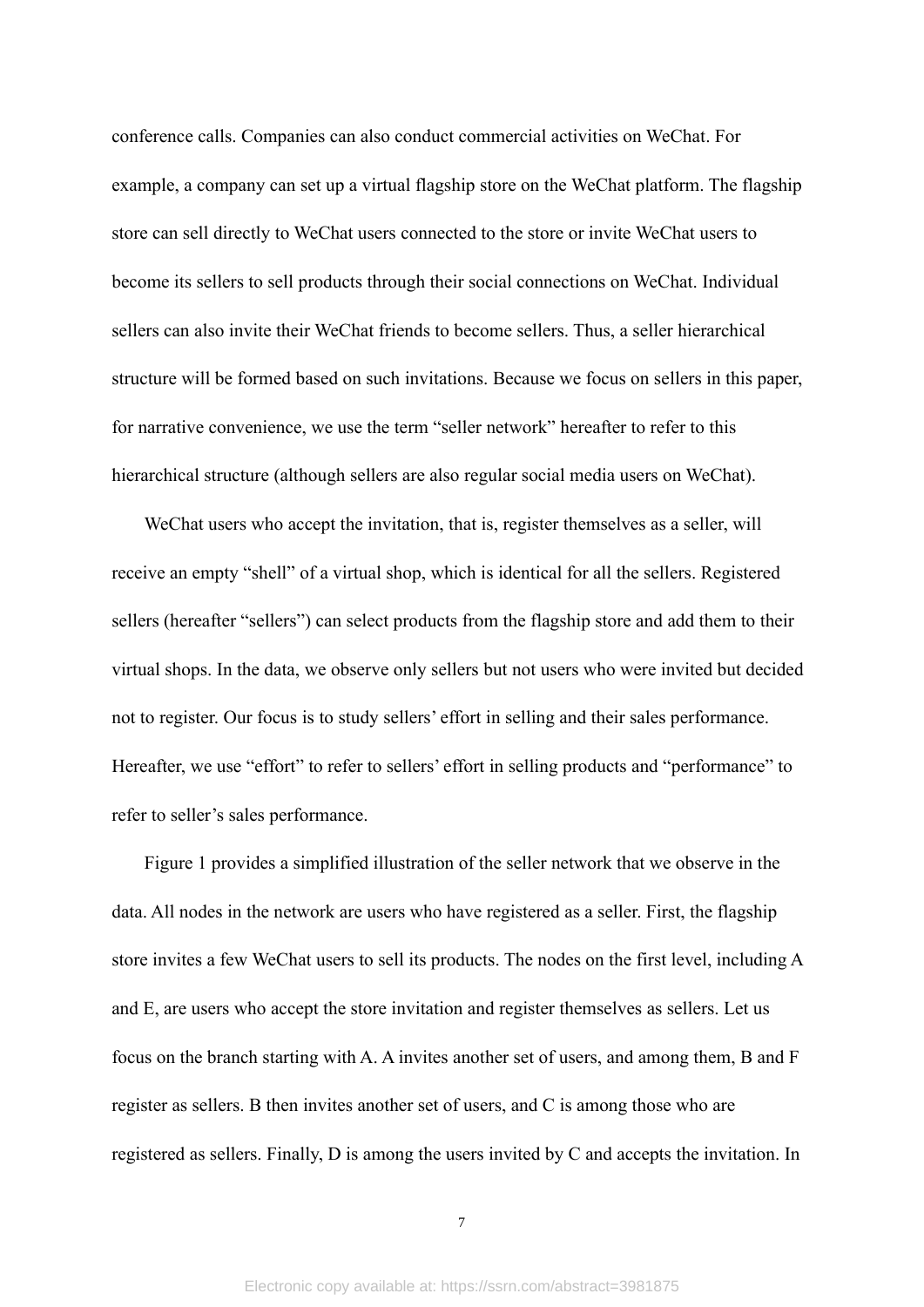conference calls. Companies can also conduct commercial activities on WeChat. For example, a company can set up a virtual flagship store on the WeChat platform. The flagship store can sell directly to WeChat users connected to the store or invite WeChat users to become its sellers to sell products through their social connections on WeChat. Individual sellers can also invite their WeChat friends to become sellers. Thus, a seller hierarchical structure will be formed based on such invitations. Because we focus on sellers in this paper, for narrative convenience, we use the term "seller network" hereafter to refer to this hierarchical structure (although sellers are also regular social media users on WeChat).

WeChat users who accept the invitation, that is, register themselves as a seller, will receive an empty "shell" of a virtual shop, which is identical for all the sellers. Registered sellers (hereafter "sellers") can select products from the flagship store and add them to their virtual shops. In the data, we observe only sellers but not users who were invited but decided not to register. Our focus is to study sellers' effort in selling and their sales performance. Hereafter, we use "effort" to refer to sellers' effort in selling products and "performance" to refer to seller's sales performance.

Figure 1 provides a simplified illustration of the seller network that we observe in the data. All nodes in the network are users who have registered as a seller. First, the flagship store invites a few WeChat users to sell its products. The nodes on the first level, including A and E, are users who accept the store invitation and register themselves as sellers. Let us focus on the branch starting with A. A invites another set of users, and among them, B and F register as sellers. B then invites another set of users, and C is among those who are registered as sellers. Finally, D is among the users invited by C and accepts the invitation. In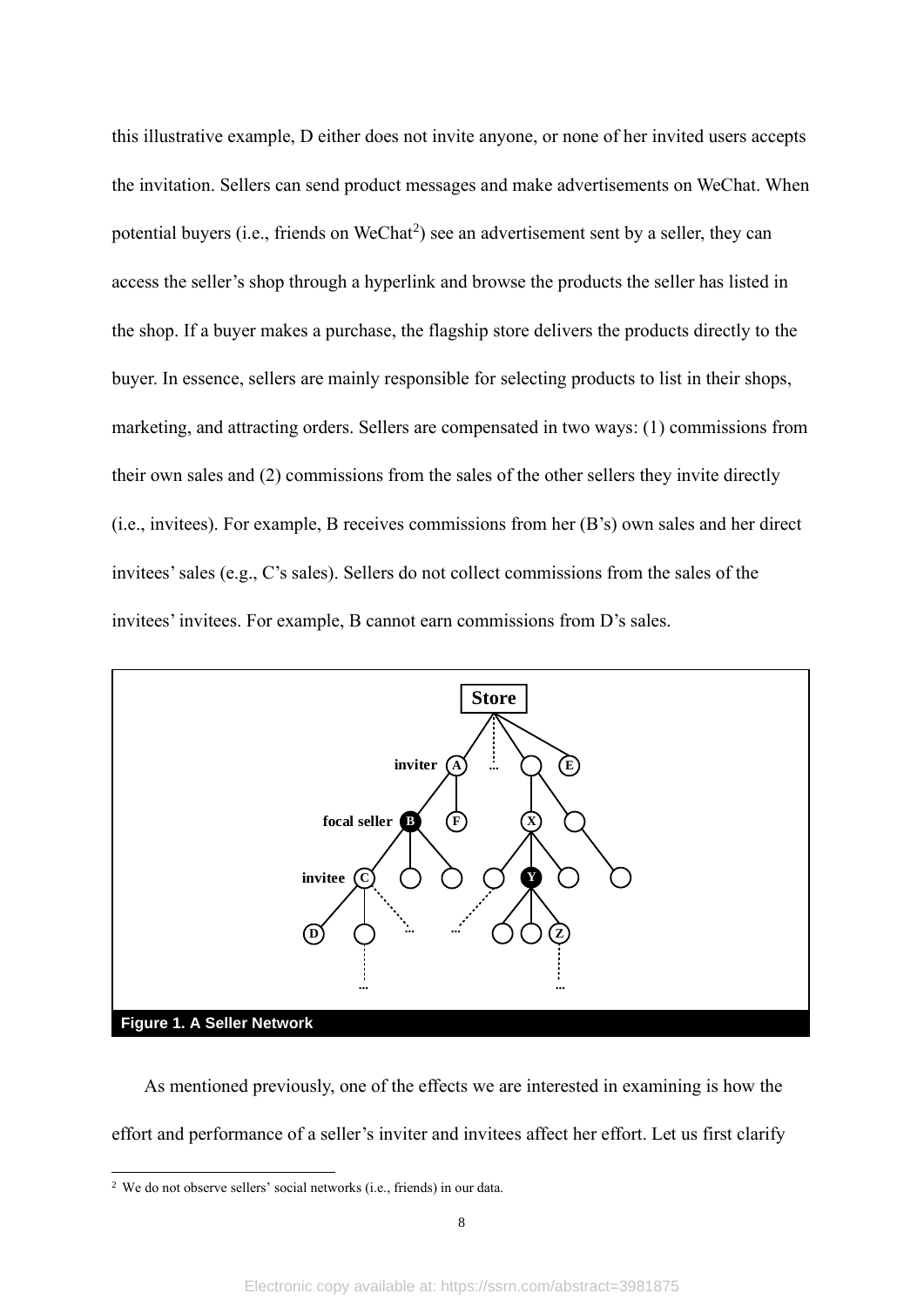this illustrative example, D either does not invite anyone, or none of her invited users accepts the invitation. Sellers can send product messages and make advertisements on WeChat. When potential buyers (i.e., friends on  $WeChat^2$ ) see an advertisement sent by a seller, they can access the seller's shop through a hyperlink and browse the products the seller has listed in the shop. If a buyer makes a purchase, the flagship store delivers the products directly to the buyer. In essence, sellers are mainly responsible for selecting products to list in their shops, marketing, and attracting orders. Sellers are compensated in two ways: (1) commissions from their own sales and (2) commissions from the sales of the other sellers they invite directly (i.e., invitees). For example, B receives commissions from her (B's) own sales and her direct invitees' sales (e.g., C's sales). Sellers do not collect commissions from the sales of the invitees' invitees. For example, B cannot earn commissions from D's sales.



As mentioned previously, one of the effects we are interested in examining is how the effort and performance of a seller's inviter and invitees affect her effort. Let us first clarify

<sup>2</sup> We do not observe sellers' social networks (i.e., friends) in our data.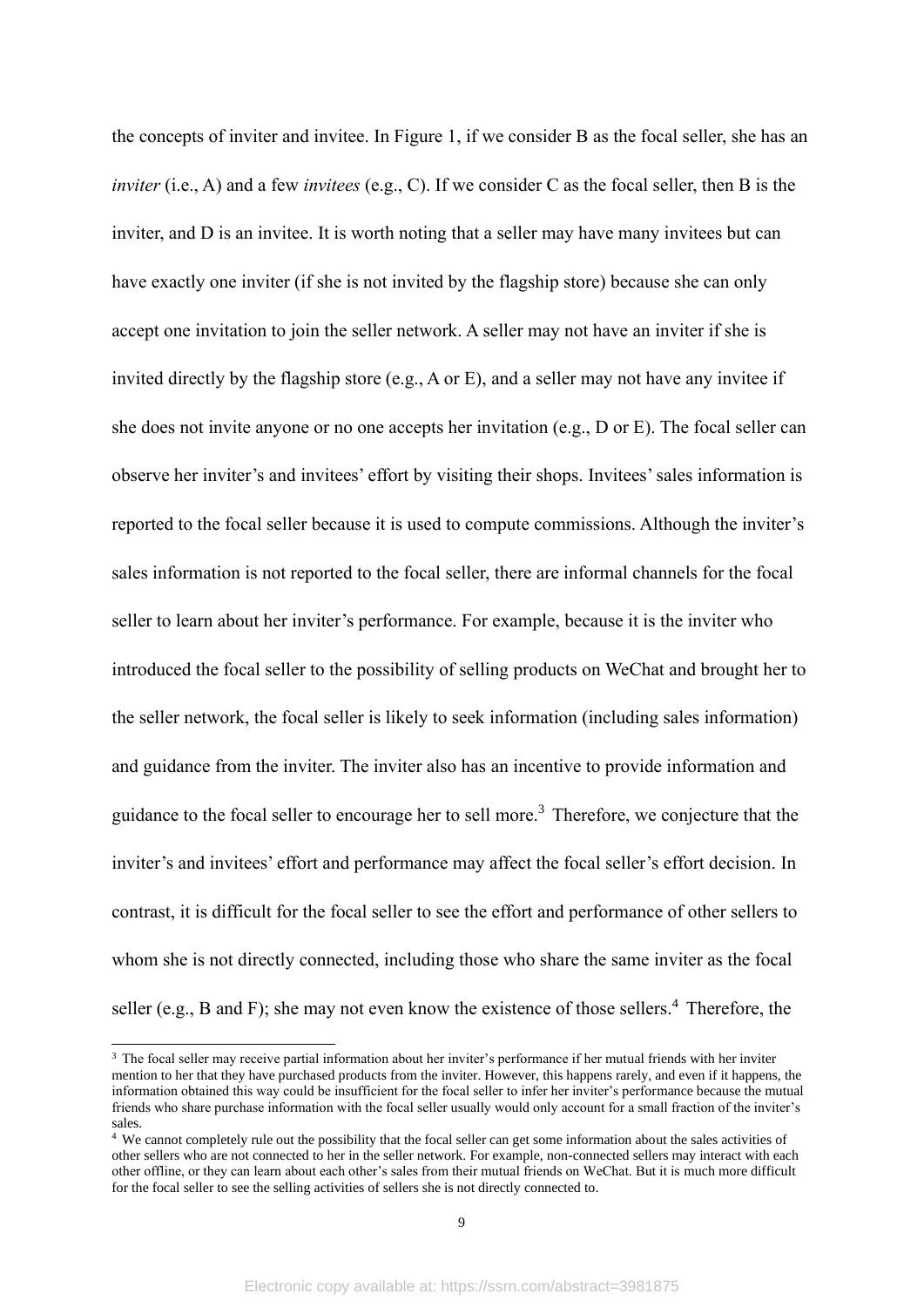the concepts of inviter and invitee. In Figure 1, if we consider B as the focal seller, she has an *inviter* (i.e., A) and a few *invitees* (e.g., C). If we consider C as the focal seller, then B is the inviter, and D is an invitee. It is worth noting that a seller may have many invitees but can have exactly one inviter (if she is not invited by the flagship store) because she can only accept one invitation to join the seller network. A seller may not have an inviter if she is invited directly by the flagship store (e.g., A or E), and a seller may not have any invitee if she does not invite anyone or no one accepts her invitation (e.g., D or E). The focal seller can observe her inviter's and invitees' effort by visiting their shops. Invitees' sales information is reported to the focal seller because it is used to compute commissions. Although the inviter's sales information is not reported to the focal seller, there are informal channels for the focal seller to learn about her inviter's performance. For example, because it is the inviter who introduced the focal seller to the possibility of selling products on WeChat and brought her to the seller network, the focal seller is likely to seek information (including sales information) and guidance from the inviter. The inviter also has an incentive to provide information and guidance to the focal seller to encourage her to sell more.<sup>3</sup> Therefore, we conjecture that the inviter's and invitees' effort and performance may affect the focal seller's effort decision. In contrast, it is difficult for the focal seller to see the effort and performance of other sellers to whom she is not directly connected, including those who share the same inviter as the focal seller (e.g., B and F); she may not even know the existence of those sellers.<sup>4</sup> Therefore, the

<sup>&</sup>lt;sup>3</sup> The focal seller may receive partial information about her inviter's performance if her mutual friends with her inviter mention to her that they have purchased products from the inviter. However, this happens rarely, and even if it happens, the information obtained this way could be insufficient for the focal seller to infer her inviter's performance because the mutual friends who share purchase information with the focal seller usually would only account for a small fraction of the inviter's sales.

<sup>&</sup>lt;sup>4</sup> We cannot completely rule out the possibility that the focal seller can get some information about the sales activities of other sellers who are not connected to her in the seller network. For example, non-connected sellers may interact with each other offline, or they can learn about each other's sales from their mutual friends on WeChat. But it is much more difficult for the focal seller to see the selling activities of sellers she is not directly connected to.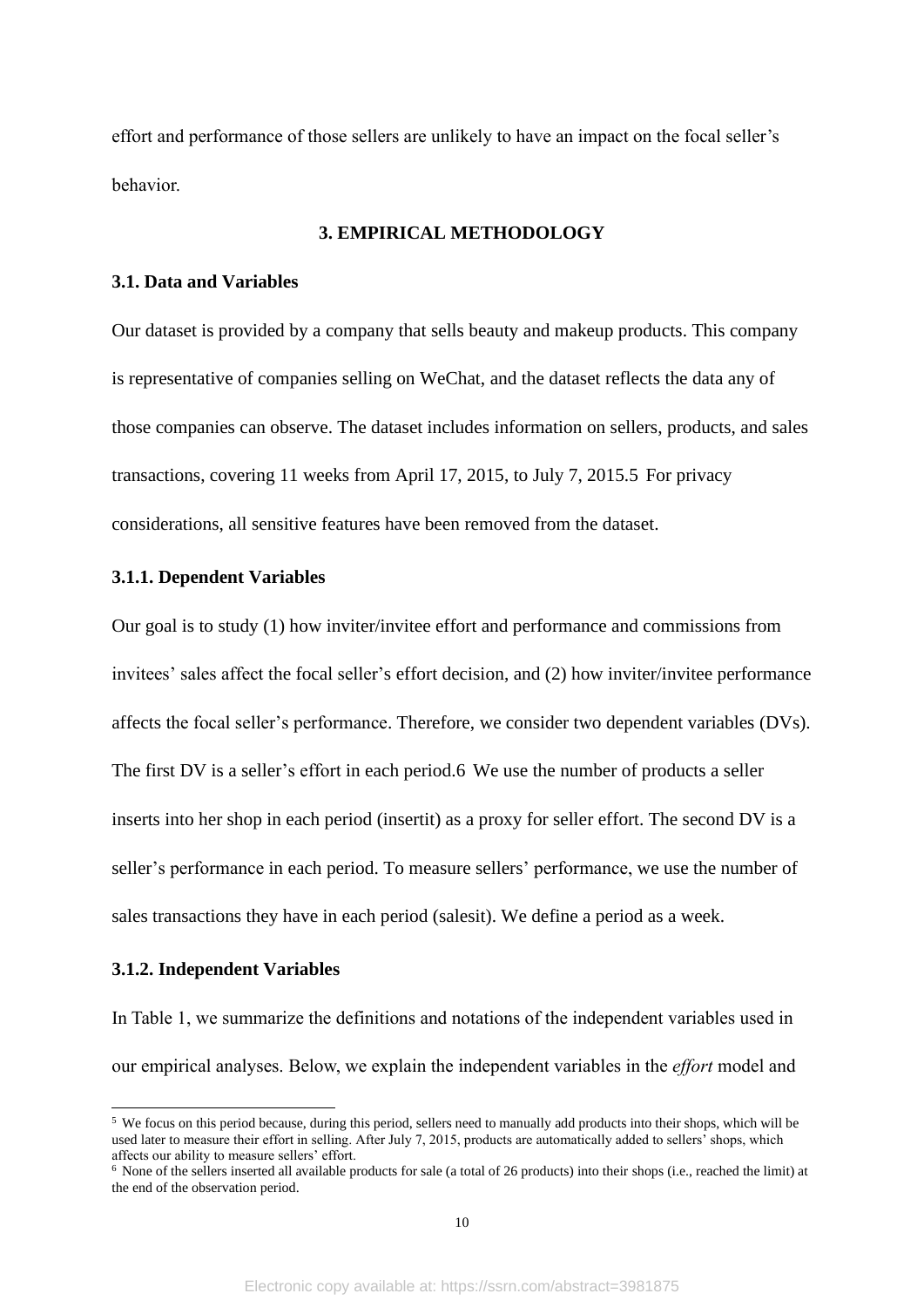effort and performance of those sellers are unlikely to have an impact on the focal seller's behavior.

# **3. EMPIRICAL METHODOLOGY**

## **3.1. Data and Variables**

Our dataset is provided by a company that sells beauty and makeup products. This company is representative of companies selling on WeChat, and the dataset reflects the data any of those companies can observe. The dataset includes information on sellers, products, and sales transactions, covering 11 weeks from April 17, 2015, to July 7, 2015.5 For privacy considerations, all sensitive features have been removed from the dataset.

# **3.1.1. Dependent Variables**

Our goal is to study (1) how inviter/invitee effort and performance and commissions from invitees' sales affect the focal seller's effort decision, and (2) how inviter/invitee performance affects the focal seller's performance. Therefore, we consider two dependent variables (DVs). The first DV is a seller's effort in each period.6 We use the number of products a seller inserts into her shop in each period (insertit) as a proxy for seller effort. The second DV is a seller's performance in each period. To measure sellers' performance, we use the number of sales transactions they have in each period (salesit). We define a period as a week.

## **3.1.2. Independent Variables**

In Table 1, we summarize the definitions and notations of the independent variables used in our empirical analyses. Below, we explain the independent variables in the *effort* model and

<sup>&</sup>lt;sup>5</sup> We focus on this period because, during this period, sellers need to manually add products into their shops, which will be used later to measure their effort in selling. After July 7, 2015, products are automatically added to sellers' shops, which affects our ability to measure sellers' effort.

<sup>6</sup> None of the sellers inserted all available products for sale (a total of 26 products) into their shops (i.e., reached the limit) at the end of the observation period.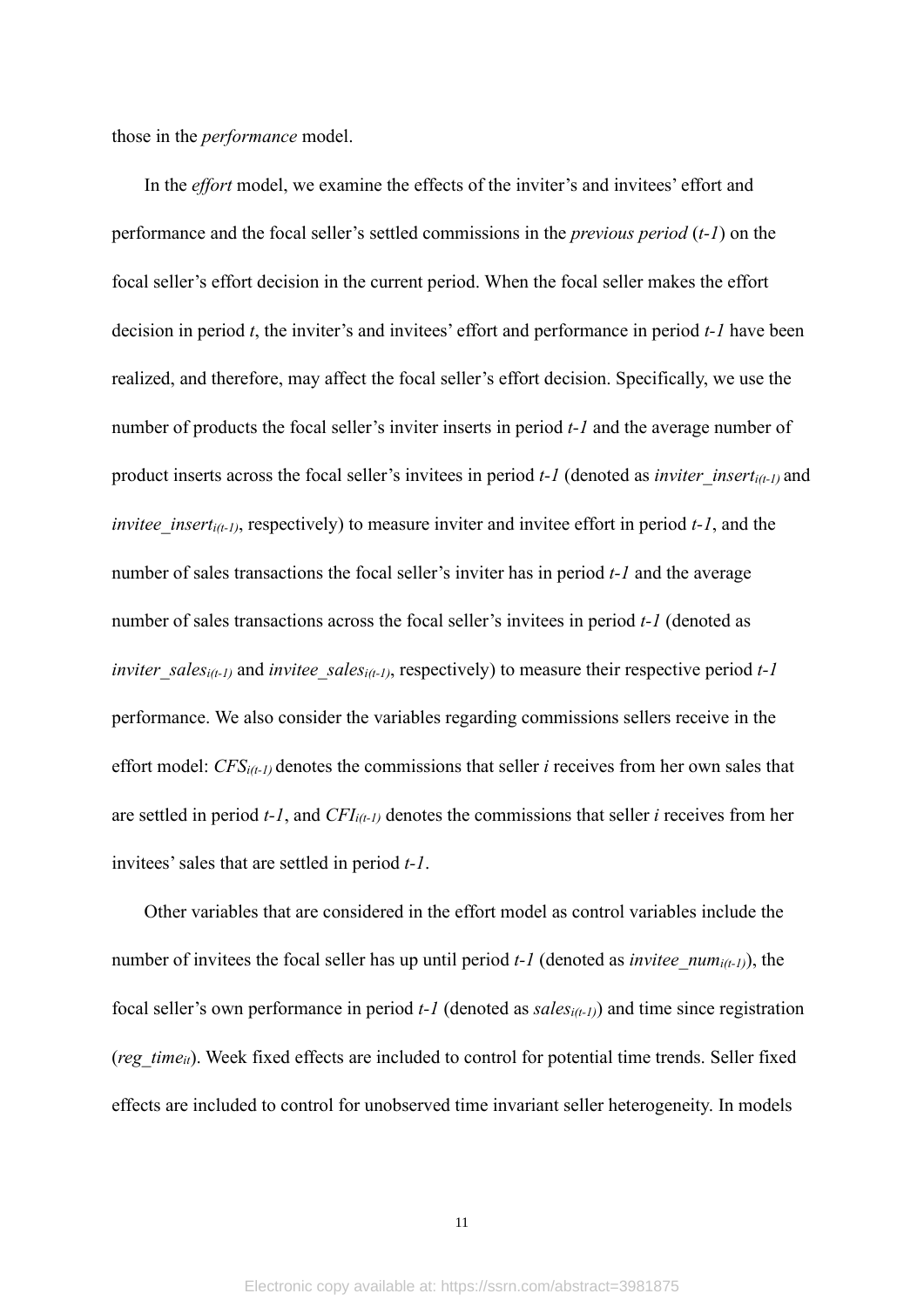those in the *performance* model.

In the *effort* model, we examine the effects of the inviter's and invitees' effort and performance and the focal seller's settled commissions in the *previous period* (*t-1*) on the focal seller's effort decision in the current period. When the focal seller makes the effort decision in period *t*, the inviter's and invitees' effort and performance in period *t-1* have been realized, and therefore, may affect the focal seller's effort decision. Specifically, we use the number of products the focal seller's inviter inserts in period *t-1* and the average number of product inserts across the focal seller's invitees in period *t-1* (denoted as *inviter* insert<sub>i(t-1)</sub> and *invitee insert<sub>i(t-1)</sub>*, respectively) to measure inviter and invitee effort in period *t-1*, and the number of sales transactions the focal seller's inviter has in period *t-1* and the average number of sales transactions across the focal seller's invitees in period *t-1* (denoted as *inviter\_sales<sub>i(t-1)</sub>* and *invitee\_sales<sub>i(t-1)</sub>*, respectively) to measure their respective period *t-1* performance. We also consider the variables regarding commissions sellers receive in the effort model: *CFSi(t-1)* denotes the commissions that seller *i* receives from her own sales that are settled in period *t-1*, and *CFIi(t-1)* denotes the commissions that seller *i* receives from her invitees' sales that are settled in period *t-1*.

Other variables that are considered in the effort model as control variables include the number of invitees the focal seller has up until period *t*-1 (denoted as *invitee* num<sub>*i*(*t*-1)</sub>, the focal seller's own performance in period *t-1* (denoted as *salesi(t-1)*) and time since registration (*reg\_time<sub>it</sub>*). Week fixed effects are included to control for potential time trends. Seller fixed effects are included to control for unobserved time invariant seller heterogeneity. In models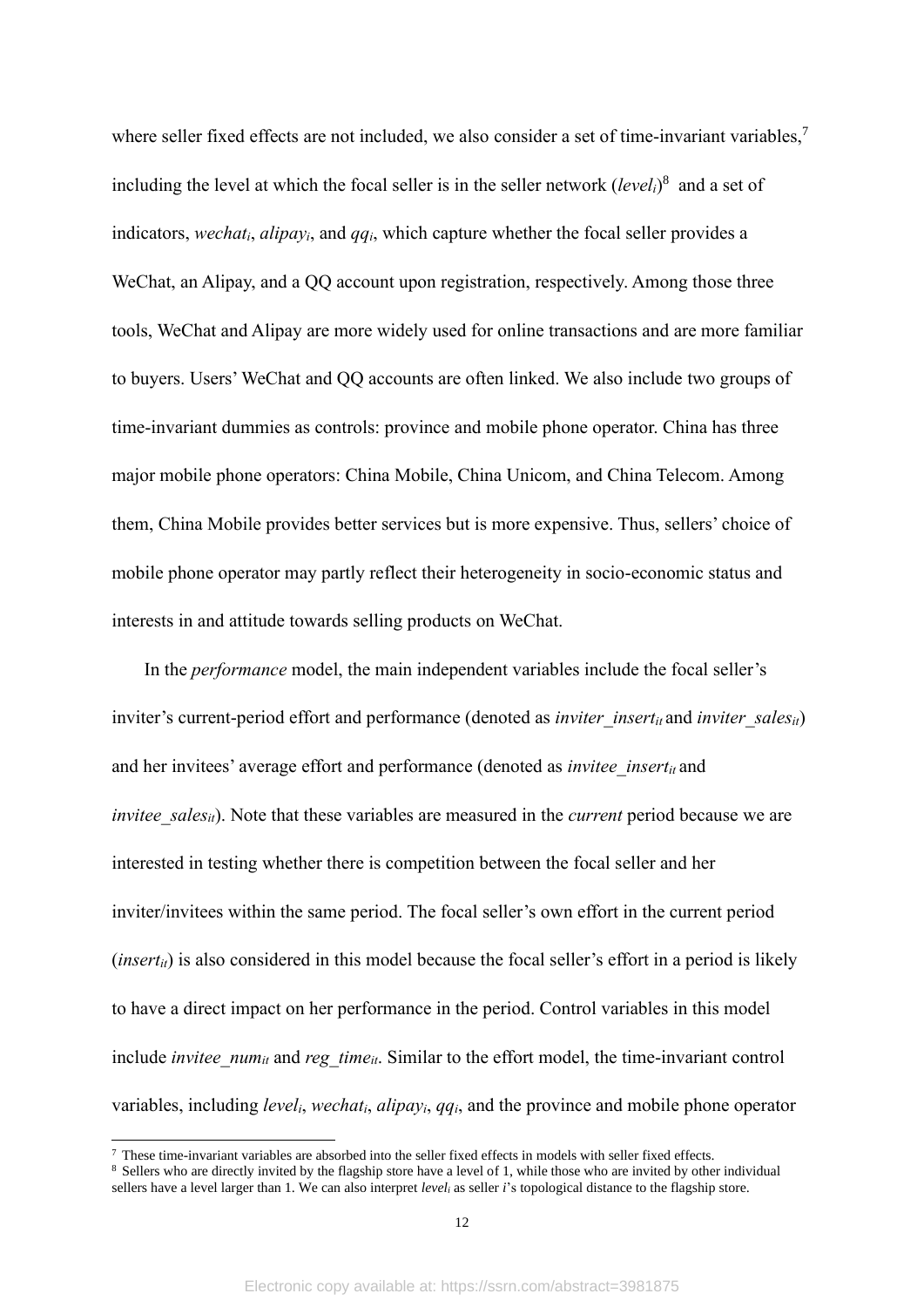where seller fixed effects are not included, we also consider a set of time-invariant variables,<sup>7</sup> including the level at which the focal seller is in the seller network (*leveli*) 8 and a set of indicators, *wechati*, *alipayi*, and *qqi*, which capture whether the focal seller provides a WeChat, an Alipay, and a QQ account upon registration, respectively. Among those three tools, WeChat and Alipay are more widely used for online transactions and are more familiar to buyers. Users' WeChat and QQ accounts are often linked. We also include two groups of time-invariant dummies as controls: province and mobile phone operator. China has three major mobile phone operators: China Mobile, China Unicom, and China Telecom. Among them, China Mobile provides better services but is more expensive. Thus, sellers' choice of mobile phone operator may partly reflect their heterogeneity in socio-economic status and interests in and attitude towards selling products on WeChat.

In the *performance* model, the main independent variables include the focal seller's inviter's current-period effort and performance (denoted as *inviter insert<sub>it</sub>* and *inviter sales*<sub>*it*</sub>) and her invitees' average effort and performance (denoted as *invitee insert<sub>it</sub>* and *invitee* sales<sub>it</sub>). Note that these variables are measured in the *current* period because we are interested in testing whether there is competition between the focal seller and her inviter/invitees within the same period. The focal seller's own effort in the current period  $(inset<sub>ti</sub>)$  is also considered in this model because the focal seller's effort in a period is likely to have a direct impact on her performance in the period. Control variables in this model include *invitee\_num*<sub>it</sub> and *reg\_time*<sub>it</sub>. Similar to the effort model, the time-invariant control variables, including *leveli*, *wechati*, *alipayi*, *qqi*, and the province and mobile phone operator

 $7$  These time-invariant variables are absorbed into the seller fixed effects in models with seller fixed effects.

<sup>&</sup>lt;sup>8</sup> Sellers who are directly invited by the flagship store have a level of 1, while those who are invited by other individual sellers have a level larger than 1. We can also interpret *level<sup>i</sup>* as seller *i*'s topological distance to the flagship store.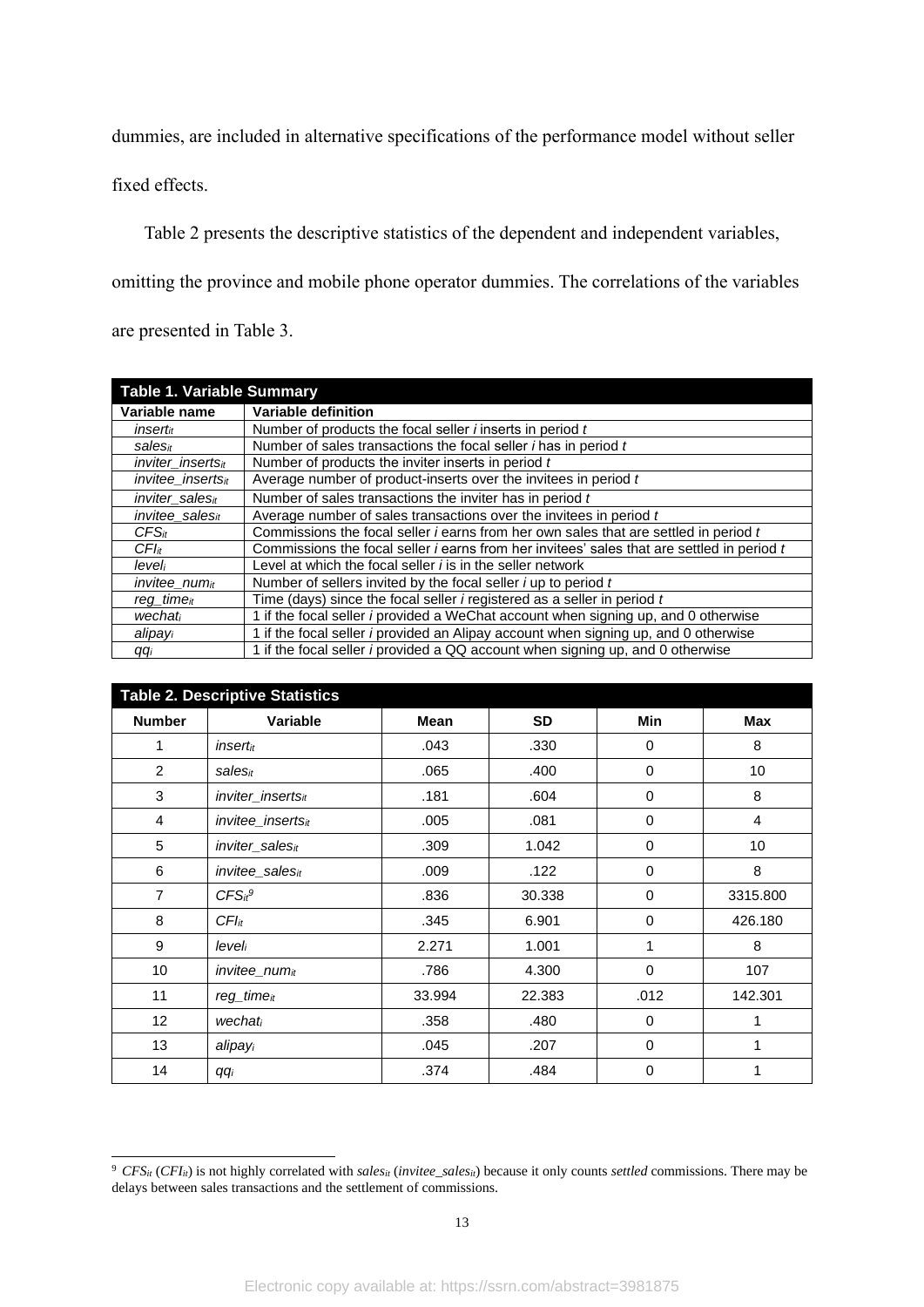dummies, are included in alternative specifications of the performance model without seller

fixed effects.

Table 2 presents the descriptive statistics of the dependent and independent variables, omitting the province and mobile phone operator dummies. The correlations of the variables are presented in Table 3.

|                               | <b>Table 1. Variable Summary</b>                                                                  |  |  |  |  |
|-------------------------------|---------------------------------------------------------------------------------------------------|--|--|--|--|
| Variable name                 | Variable definition                                                                               |  |  |  |  |
| <i>insert<sub>it</sub></i>    | Number of products the focal seller <i>i</i> inserts in period t                                  |  |  |  |  |
| salesit                       | Number of sales transactions the focal seller <i>i</i> has in period t                            |  |  |  |  |
| inviter inserts <sub>it</sub> | Number of products the inviter inserts in period t                                                |  |  |  |  |
| invitee inserts <sub>it</sub> | Average number of product-inserts over the invitees in period t                                   |  |  |  |  |
| inviter_salesit               | Number of sales transactions the inviter has in period t                                          |  |  |  |  |
| invitee salest                | Average number of sales transactions over the invitees in period t                                |  |  |  |  |
| $CFS_{it}$                    | Commissions the focal seller <i>i</i> earns from her own sales that are settled in period t       |  |  |  |  |
| $CFl$ it                      | Commissions the focal seller <i>i</i> earns from her invitees' sales that are settled in period t |  |  |  |  |
| leveli                        | Level at which the focal seller <i>i</i> is in the seller network                                 |  |  |  |  |
| invitee_numit                 | Number of sellers invited by the focal seller $i$ up to period $t$                                |  |  |  |  |
| reg_time <sub>it</sub>        | Time (days) since the focal seller <i>i</i> registered as a seller in period t                    |  |  |  |  |
| wechati                       | 1 if the focal seller <i>i</i> provided a WeChat account when signing up, and 0 otherwise         |  |  |  |  |
| alipayi                       | 1 if the focal seller <i>i</i> provided an Alipay account when signing up, and 0 otherwise        |  |  |  |  |
| qqi                           | 1 if the focal seller <i>i</i> provided a QQ account when signing up, and 0 otherwise             |  |  |  |  |

| <b>Table 2. Descriptive Statistics</b> |                                |        |           |             |          |  |  |
|----------------------------------------|--------------------------------|--------|-----------|-------------|----------|--|--|
| <b>Number</b>                          | Variable                       | Mean   | <b>SD</b> | Min         | Max      |  |  |
| 1                                      | insertit                       | .043   | .330      | 0           | 8        |  |  |
| 2                                      | salesit                        | .065   | .400      | 0           | 10       |  |  |
| 3                                      | inviter_insertsit              | .181   | .604      | 0           | 8        |  |  |
| $\overline{4}$                         | <i>invitee insertsit</i>       | .005   | .081      | 0           | 4        |  |  |
| 5                                      | inviter_salesit                | .309   | 1.042     | $\mathbf 0$ | 10       |  |  |
| 6                                      | invitee sales $it$             | .009   | .122      | 0           | 8        |  |  |
| $\overline{7}$                         | CFS <sub>it</sub> <sup>9</sup> | .836   | 30.338    | 0           | 3315.800 |  |  |
| 8                                      | $CFI_{it}$                     | .345   | 6.901     | 0           | 426.180  |  |  |
| 9                                      | leveli                         | 2.271  | 1.001     | $\mathbf 1$ | 8        |  |  |
| 10                                     | $invitee$ num $it$             | .786   | 4.300     | 0           | 107      |  |  |
| 11                                     | $req$ _time $it$               | 33.994 | 22.383    | .012        | 142.301  |  |  |
| 12 <sub>2</sub>                        | wechati                        | .358   | .480      | 0           |          |  |  |
| 13                                     | alipayi                        | .045   | .207      | 0           |          |  |  |
| 14                                     | qqi                            | .374   | .484      | 0           |          |  |  |

<sup>9</sup> *CFSit* (*CFIit*) is not highly correlated with *salesit* (*invitee\_salesit*) because it only counts *settled* commissions. There may be delays between sales transactions and the settlement of commissions.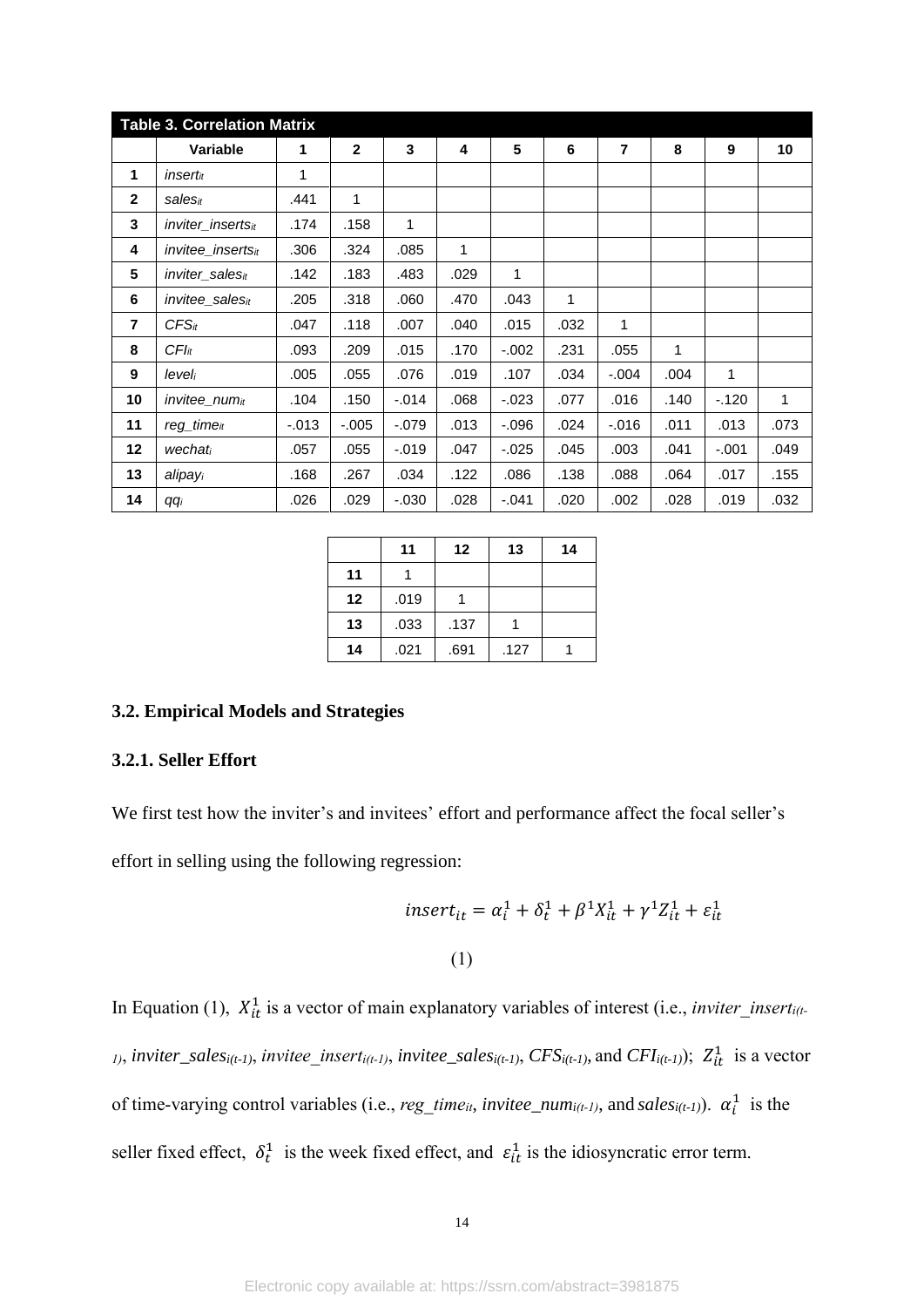| <b>Table 3. Correlation Matrix</b> |                             |         |              |          |      |          |      |                |      |         |      |
|------------------------------------|-----------------------------|---------|--------------|----------|------|----------|------|----------------|------|---------|------|
|                                    | Variable                    | 1       | $\mathbf{2}$ | 3        | 4    | 5        | 6    | $\overline{7}$ | 8    | 9       | 10   |
| 1                                  | insertit                    | 1       |              |          |      |          |      |                |      |         |      |
| $\mathbf{2}$                       | salesit                     | .441    | 1            |          |      |          |      |                |      |         |      |
| 3                                  | inviter insertsit           | .174    | .158         | 1        |      |          |      |                |      |         |      |
| 4                                  | <i>invitee insertsit</i>    | .306    | .324         | .085     | 1    |          |      |                |      |         |      |
| 5                                  | inviter_salesit             | .142    | .183         | .483     | .029 | 1        |      |                |      |         |      |
| 6                                  | invitee_sales <sub>it</sub> | .205    | .318         | .060     | .470 | .043     | 1    |                |      |         |      |
| $\overline{7}$                     | $CFS_{it}$                  | .047    | .118         | .007     | .040 | .015     | .032 | 1              |      |         |      |
| 8                                  | $CFl$ it                    | .093    | .209         | .015     | .170 | $-.002$  | .231 | .055           | 1    |         |      |
| 9                                  | leveli                      | .005    | .055         | .076     | .019 | .107     | .034 | $-0.004$       | .004 | 1       |      |
| 10                                 | $invitee_{num_{it}}$        | .104    | .150         | $-0.014$ | .068 | $-0.023$ | .077 | .016           | .140 | $-120$  | 1    |
| 11                                 | $reg\_time_{it}$            | $-.013$ | $-.005$      | $-.079$  | .013 | $-0.096$ | .024 | $-0.016$       | .011 | .013    | .073 |
| 12                                 | wechati                     | .057    | .055         | $-0.019$ | .047 | $-0.025$ | .045 | .003           | .041 | $-.001$ | .049 |
| 13                                 | alipayi                     | .168    | .267         | .034     | .122 | .086     | .138 | .088           | .064 | .017    | .155 |
| 14                                 | qqi                         | .026    | .029         | $-0.030$ | .028 | $-.041$  | .020 | .002           | .028 | .019    | .032 |

|    | 11   | 12   | 13   | 14 |
|----|------|------|------|----|
| 11 |      |      |      |    |
| 12 | .019 |      |      |    |
| 13 | .033 | .137 |      |    |
| 14 | .021 | .691 | .127 |    |

## **3.2. Empirical Models and Strategies**

# **3.2.1. Seller Effort**

We first test how the inviter's and invitees' effort and performance affect the focal seller's

effort in selling using the following regression:

$$
insert_{it} = \alpha_i^1 + \delta_t^1 + \beta^1 X_{it}^1 + \gamma^1 Z_{it}^1 + \varepsilon_{it}^1
$$
  
(1)

In Equation (1),  $X_{it}^1$  is a vector of main explanatory variables of interest (i.e., *inviter\_insert<sub>i(t-</sub> 1)*, *inviter\_sales*<sub>*i*(*t-1*)</sub>, *invitee\_insert*<sub>*i*(*t-1*)</sub>, *invitee\_sales*<sub>*i*(*t-1*)</sub>, *CFS*<sub>*i*(*t-1*)</sub>, and *CFI*<sub>*i*(*t-1*));  $Z_{it}^1$  is a vector</sub> of time-varying control variables (i.e.,  $reg\_time_{it}$ ,  $invitee\_num_{i(t-1)}$ , and  $sales_{i(t-1)}$ ).  $\alpha_i^1$  is the seller fixed effect,  $\delta_t^1$  is the week fixed effect, and  $\varepsilon_{it}^1$  is the idiosyncratic error term.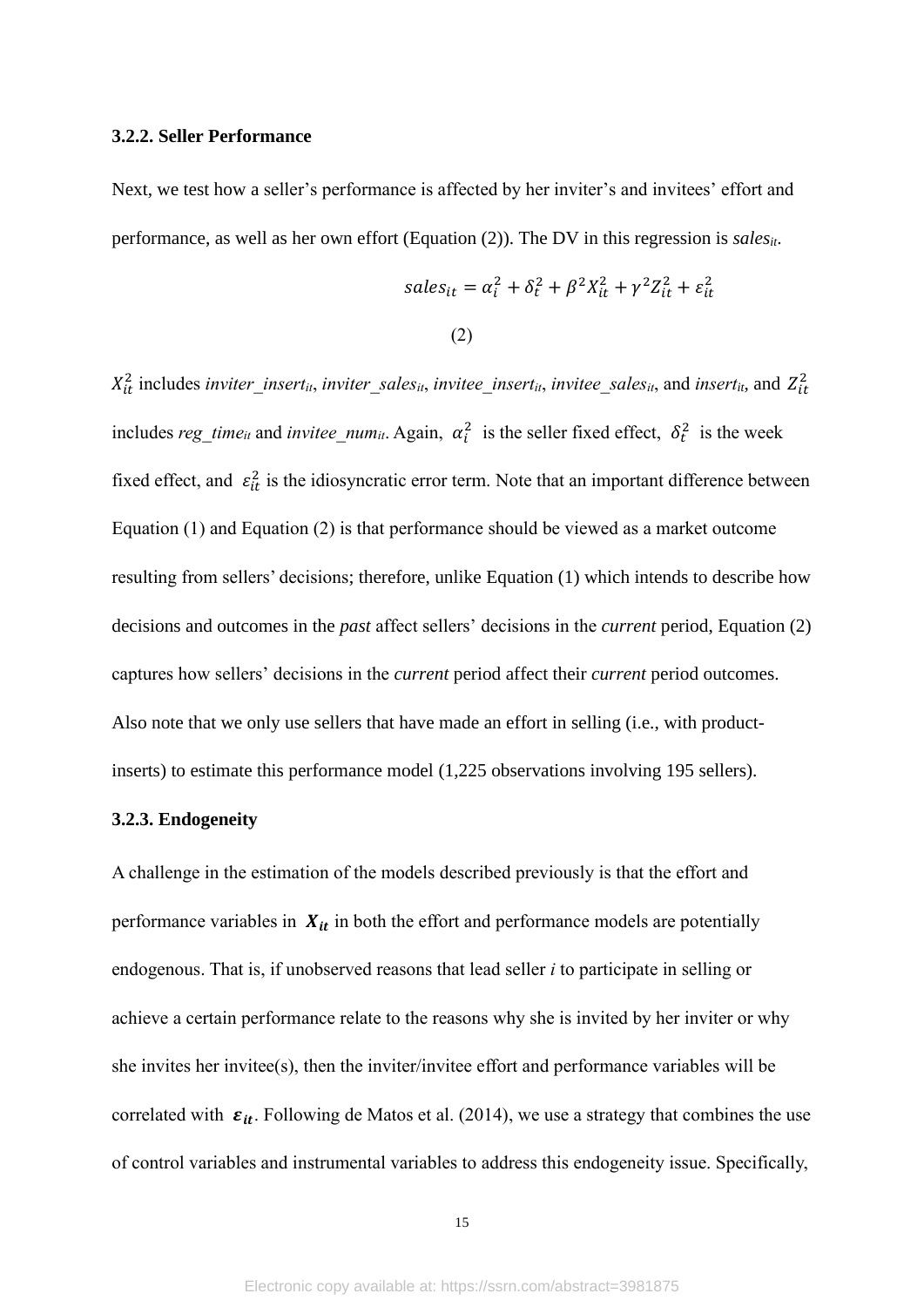#### **3.2.2. Seller Performance**

Next, we test how a seller's performance is affected by her inviter's and invitees' effort and performance, as well as her own effort (Equation (2)). The DV in this regression is *salesit*.

\n
$$
\text{sales}_{it} = \alpha_i^2 + \delta_t^2 + \beta^2 X_{it}^2 + \gamma^2 Z_{it}^2 + \varepsilon_{it}^2
$$
\n

\n\n (2)\n

 $X_{it}^2$  includes *inviter\_insert<sub>it</sub>*, *inviter\_sales<sub>it</sub>*, *invitee\_insert<sub>it</sub>*, *invitee\_sales<sub>it</sub>*, and *insert<sub>it</sub>*, and  $Z_{it}^2$ includes reg\_time<sub>it</sub> and *invitee\_num*<sub>it</sub>. Again,  $\alpha_i^2$  is the seller fixed effect,  $\delta_t^2$  is the week fixed effect, and  $\varepsilon_{it}^2$  is the idiosyncratic error term. Note that an important difference between Equation (1) and Equation (2) is that performance should be viewed as a market outcome resulting from sellers' decisions; therefore, unlike Equation (1) which intends to describe how decisions and outcomes in the *past* affect sellers' decisions in the *current* period, Equation (2) captures how sellers' decisions in the *current* period affect their *current* period outcomes. Also note that we only use sellers that have made an effort in selling (i.e., with productinserts) to estimate this performance model (1,225 observations involving 195 sellers).

#### **3.2.3. Endogeneity**

A challenge in the estimation of the models described previously is that the effort and performance variables in  $X_{it}$  in both the effort and performance models are potentially endogenous. That is, if unobserved reasons that lead seller *i* to participate in selling or achieve a certain performance relate to the reasons why she is invited by her inviter or why she invites her invitee(s), then the inviter/invitee effort and performance variables will be correlated with  $\varepsilon_{it}$ . Following de Matos et al. (2014), we use a strategy that combines the use of control variables and instrumental variables to address this endogeneity issue. Specifically,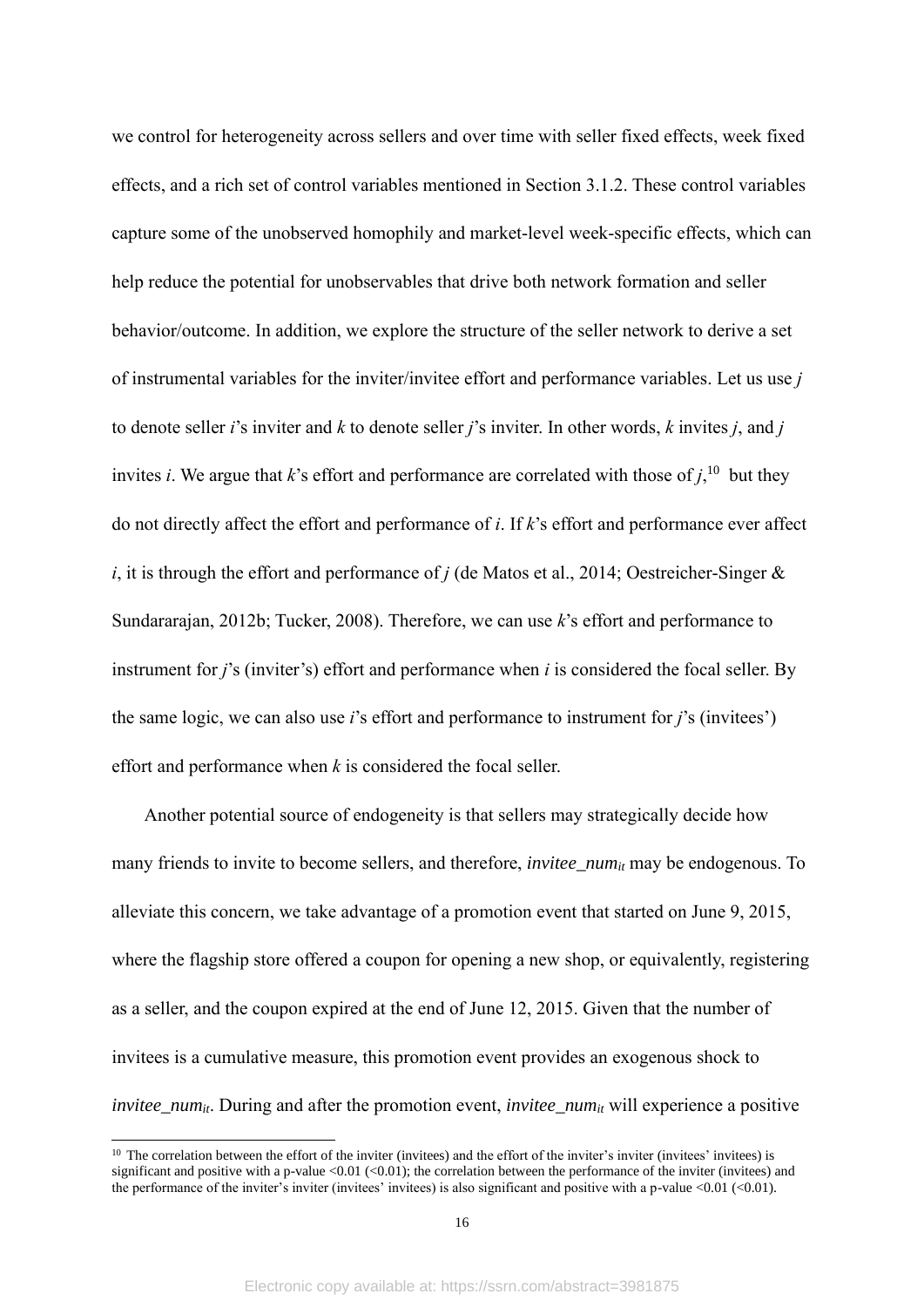we control for heterogeneity across sellers and over time with seller fixed effects, week fixed effects, and a rich set of control variables mentioned in Section 3.1.2. These control variables capture some of the unobserved homophily and market-level week-specific effects, which can help reduce the potential for unobservables that drive both network formation and seller behavior/outcome. In addition, we explore the structure of the seller network to derive a set of instrumental variables for the inviter/invitee effort and performance variables. Let us use *j*  to denote seller *i*'s inviter and *k* to denote seller *j*'s inviter. In other words, *k* invites *j*, and *j* invites *i*. We argue that *k*'s effort and performance are correlated with those of  $j$ ,<sup>10</sup>, but they do not directly affect the effort and performance of *i*. If *k*'s effort and performance ever affect *i*, it is through the effort and performance of *j* (de Matos et al., 2014; Oestreicher-Singer & Sundararajan, 2012b; Tucker, 2008). Therefore, we can use *k*'s effort and performance to instrument for *j*'s (inviter's) effort and performance when *i* is considered the focal seller. By the same logic, we can also use *i*'s effort and performance to instrument for *j*'s (invitees') effort and performance when *k* is considered the focal seller.

Another potential source of endogeneity is that sellers may strategically decide how many friends to invite to become sellers, and therefore, *invitee\_numit* may be endogenous. To alleviate this concern, we take advantage of a promotion event that started on June 9, 2015, where the flagship store offered a coupon for opening a new shop, or equivalently, registering as a seller, and the coupon expired at the end of June 12, 2015. Given that the number of invitees is a cumulative measure, this promotion event provides an exogenous shock to *invitee\_num<sub>it</sub>*. During and after the promotion event, *invitee\_num*<sub>*it*</sub> will experience a positive

 $10$  The correlation between the effort of the inviter (invitees) and the effort of the inviter's inviter (invitees) is significant and positive with a p-value <0.01 (<0.01); the correlation between the performance of the inviter (invitees) and the performance of the inviter's inviter (invitees) is also significant and positive with a p-value  $<0.01$  ( $<0.01$ ).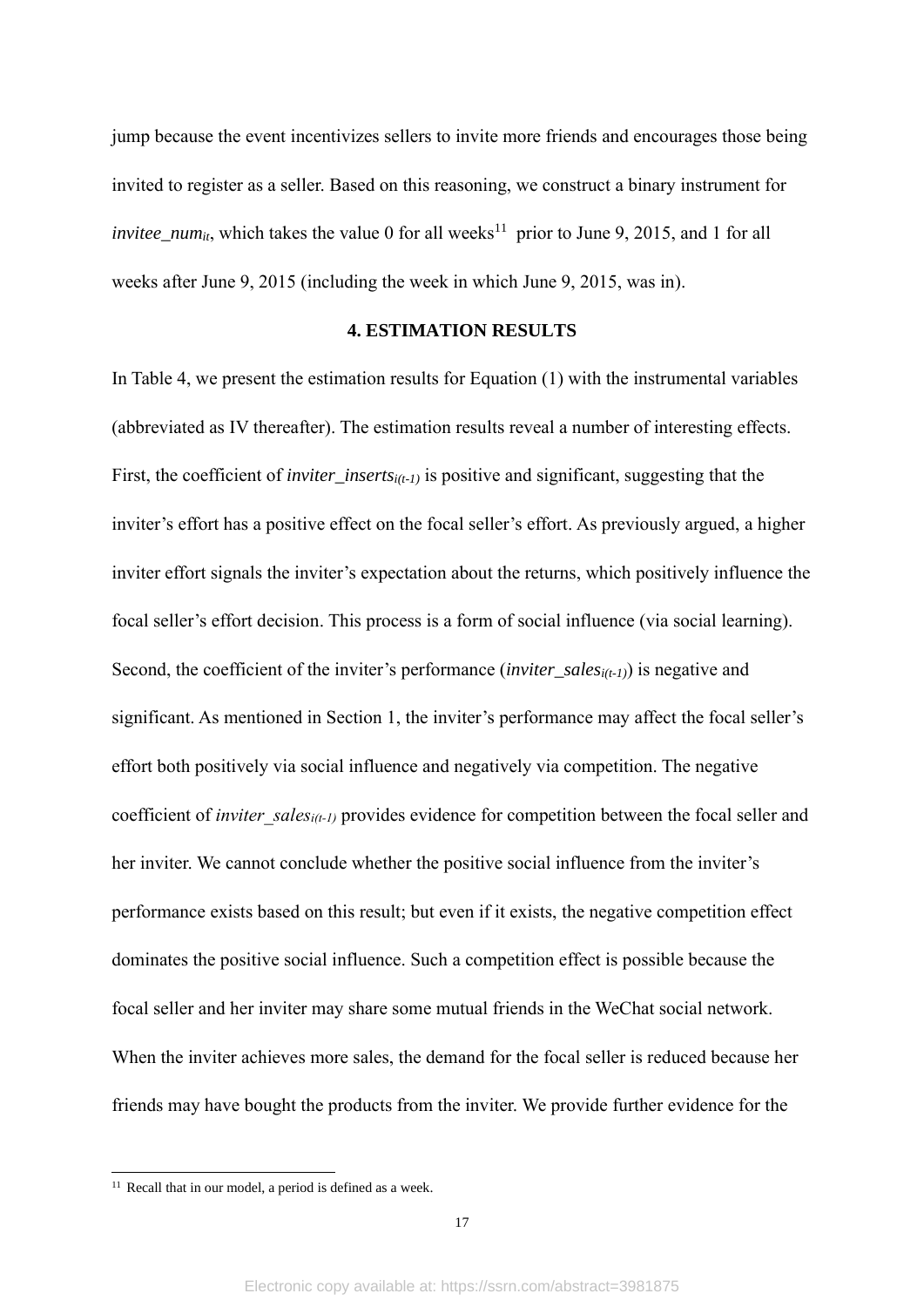jump because the event incentivizes sellers to invite more friends and encourages those being invited to register as a seller. Based on this reasoning, we construct a binary instrument for *invitee\_num<sub>it</sub>*, which takes the value 0 for all weeks<sup>11</sup> prior to June 9, 2015, and 1 for all weeks after June 9, 2015 (including the week in which June 9, 2015, was in).

## **4. ESTIMATION RESULTS**

In Table 4, we present the estimation results for Equation (1) with the instrumental variables (abbreviated as IV thereafter). The estimation results reveal a number of interesting effects. First, the coefficient of *inviter\_insertsi(t-1)* is positive and significant, suggesting that the inviter's effort has a positive effect on the focal seller's effort. As previously argued, a higher inviter effort signals the inviter's expectation about the returns, which positively influence the focal seller's effort decision. This process is a form of social influence (via social learning). Second, the coefficient of the inviter's performance (*inviter\_salesi(t-1)*) is negative and significant. As mentioned in Section 1, the inviter's performance may affect the focal seller's effort both positively via social influence and negatively via competition. The negative coefficient of *inviter* sales<sub>*i(t-1)* provides evidence for competition between the focal seller and</sub> her inviter. We cannot conclude whether the positive social influence from the inviter's performance exists based on this result; but even if it exists, the negative competition effect dominates the positive social influence. Such a competition effect is possible because the focal seller and her inviter may share some mutual friends in the WeChat social network. When the inviter achieves more sales, the demand for the focal seller is reduced because her friends may have bought the products from the inviter. We provide further evidence for the

 $11$  Recall that in our model, a period is defined as a week.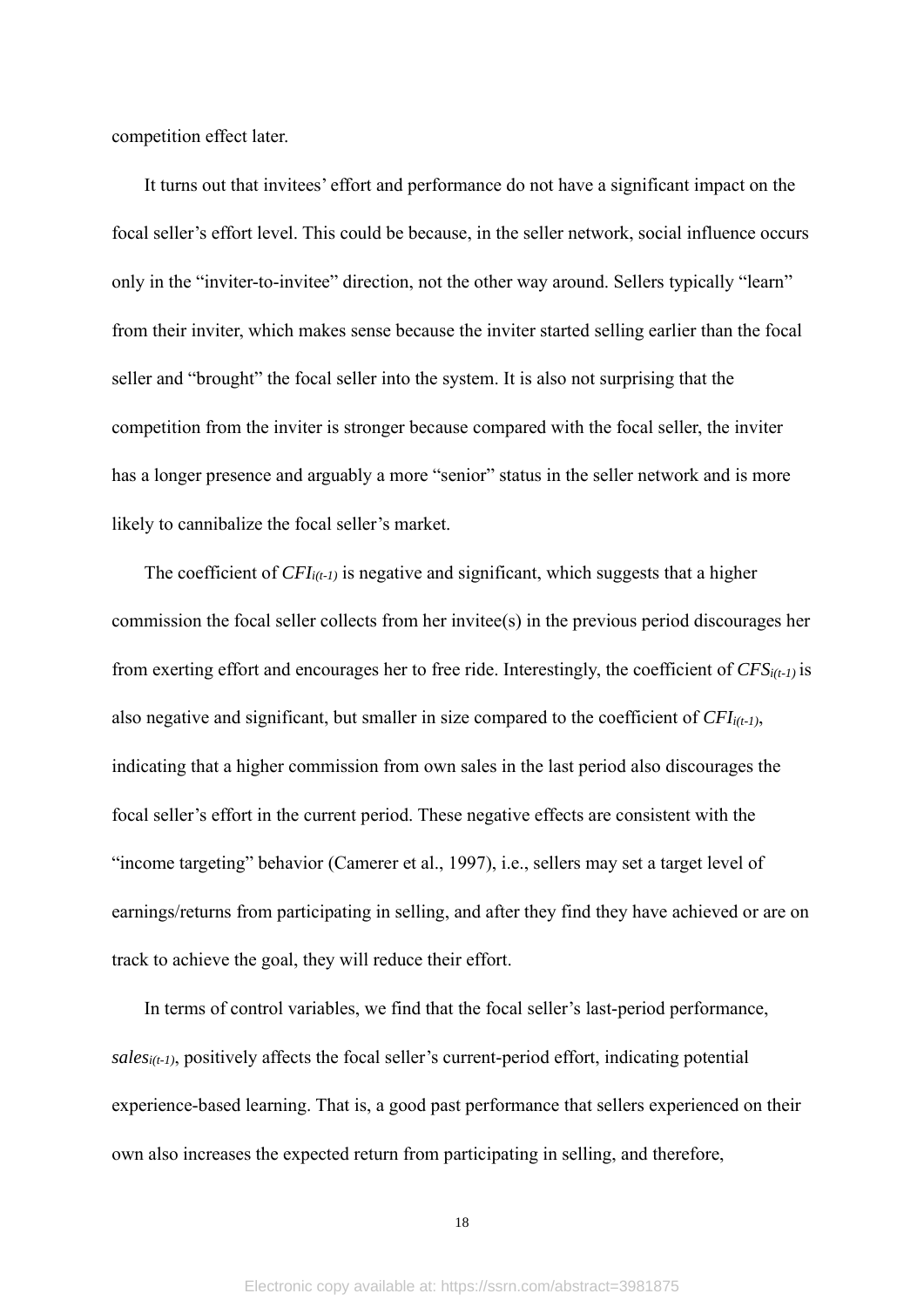competition effect later.

It turns out that invitees' effort and performance do not have a significant impact on the focal seller's effort level. This could be because, in the seller network, social influence occurs only in the "inviter-to-invitee" direction, not the other way around. Sellers typically "learn" from their inviter, which makes sense because the inviter started selling earlier than the focal seller and "brought" the focal seller into the system. It is also not surprising that the competition from the inviter is stronger because compared with the focal seller, the inviter has a longer presence and arguably a more "senior" status in the seller network and is more likely to cannibalize the focal seller's market.

The coefficient of *CFIi(t-1)* is negative and significant, which suggests that a higher commission the focal seller collects from her invitee(s) in the previous period discourages her from exerting effort and encourages her to free ride. Interestingly, the coefficient of *CFSi(t-1)* is also negative and significant, but smaller in size compared to the coefficient of *CFIi(t-1)*, indicating that a higher commission from own sales in the last period also discourages the focal seller's effort in the current period. These negative effects are consistent with the "income targeting" behavior (Camerer et al., 1997), i.e., sellers may set a target level of earnings/returns from participating in selling, and after they find they have achieved or are on track to achieve the goal, they will reduce their effort.

In terms of control variables, we find that the focal seller's last-period performance, *salesi(t-1)*, positively affects the focal seller's current-period effort, indicating potential experience-based learning. That is, a good past performance that sellers experienced on their own also increases the expected return from participating in selling, and therefore,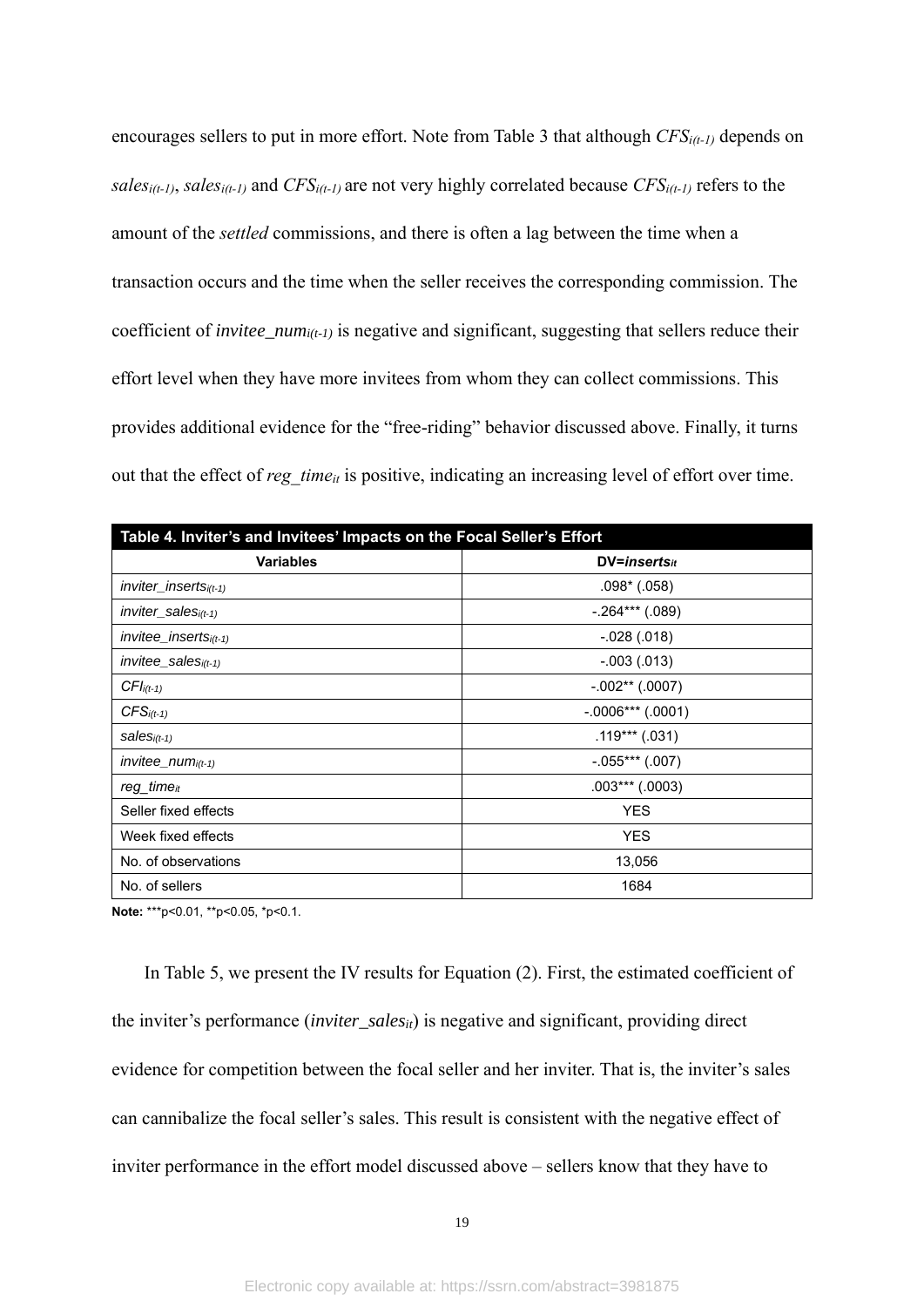encourages sellers to put in more effort. Note from Table 3 that although *CFSi(t-1)* depends on *salesi(t-1)*, *salesi(t-1)* and *CFSi(t-1)* are not very highly correlated because *CFSi(t-1)* refers to the amount of the *settled* commissions, and there is often a lag between the time when a transaction occurs and the time when the seller receives the corresponding commission. The coefficient of *invitee\_numi(t-1)* is negative and significant, suggesting that sellers reduce their effort level when they have more invitees from whom they can collect commissions. This provides additional evidence for the "free-riding" behavior discussed above. Finally, it turns out that the effect of *reg\_time*<sub>it</sub> is positive, indicating an increasing level of effort over time.

| Table 4. Inviter's and Invitees' Impacts on the Focal Seller's Effort |                     |  |  |  |
|-----------------------------------------------------------------------|---------------------|--|--|--|
| <b>Variables</b>                                                      | $DV = insertsit$    |  |  |  |
| $in$ viter_inserts $i(t-1)$                                           | $.098^*$ (.058)     |  |  |  |
| $in$ viter_sales $_{i(t-1)}$                                          | $-.264***$ (.089)   |  |  |  |
| $invitee_{inserts_{i(t-1)}}$                                          | $-0.028(0.018)$     |  |  |  |
| $invitee$ _sales $_{i(t-1)}$                                          | $-.003(.013)$       |  |  |  |
| $CFIi(t-1)$                                                           | $-.002**(.0007)$    |  |  |  |
| $CFSi(t-1)$                                                           | $-.0006***$ (.0001) |  |  |  |
| $sales_{i(t-1)}$                                                      | $.119***(.031)$     |  |  |  |
| $invitee_{num_{i(t-1)}}$                                              | $-.055***$ (.007)   |  |  |  |
| reg_time <sub>it</sub>                                                | $.003***(.0003)$    |  |  |  |
| Seller fixed effects                                                  | <b>YES</b>          |  |  |  |
| Week fixed effects                                                    | <b>YES</b>          |  |  |  |
| No. of observations                                                   | 13,056              |  |  |  |
| No. of sellers                                                        | 1684                |  |  |  |

**Note:** \*\*\*p<0.01, \*\*p<0.05, \*p<0.1.

In Table 5, we present the IV results for Equation (2). First, the estimated coefficient of the inviter's performance (*inviter\_sales*<sub>*it*</sub>) is negative and significant, providing direct evidence for competition between the focal seller and her inviter. That is, the inviter's sales can cannibalize the focal seller's sales. This result is consistent with the negative effect of inviter performance in the effort model discussed above – sellers know that they have to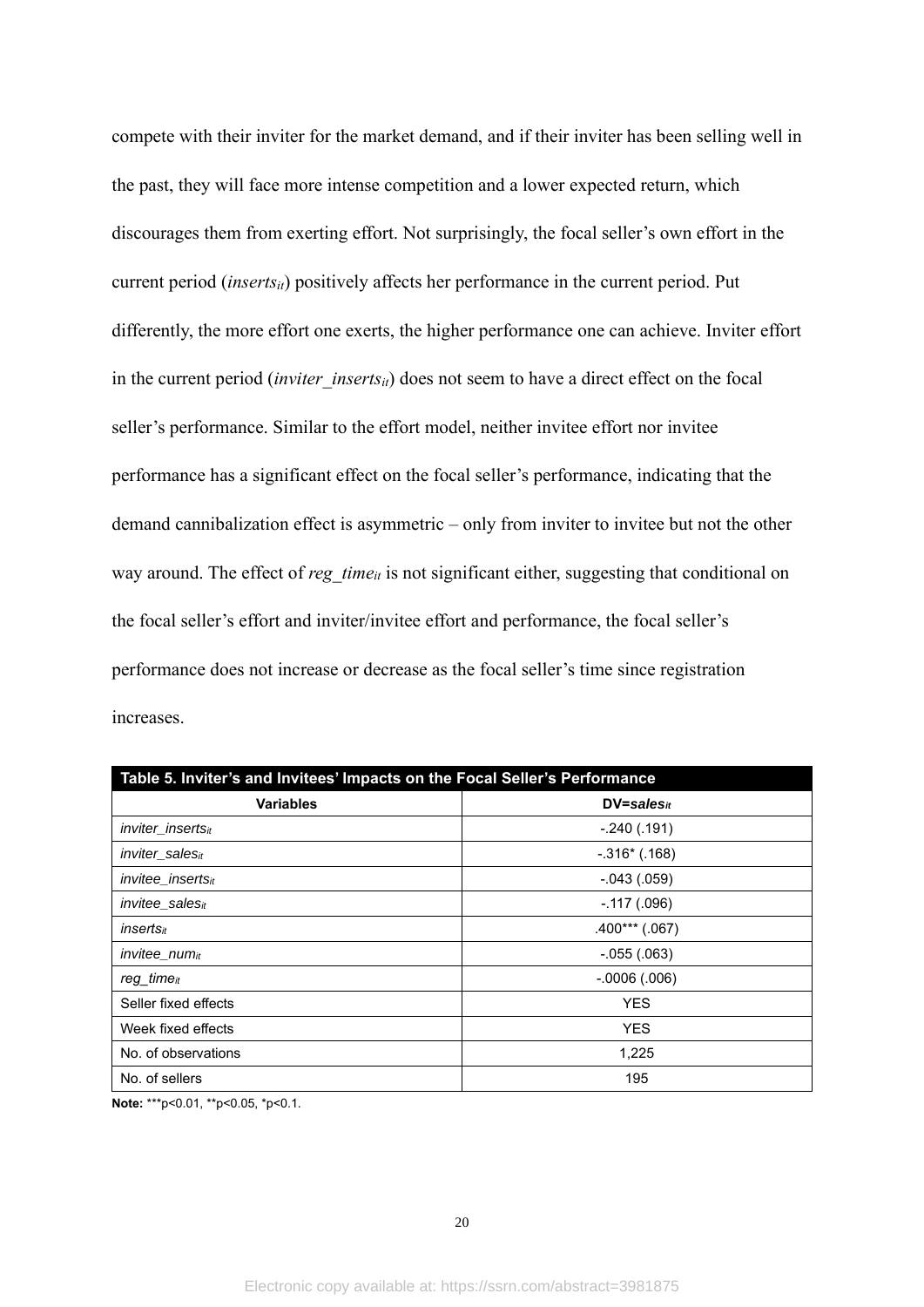compete with their inviter for the market demand, and if their inviter has been selling well in the past, they will face more intense competition and a lower expected return, which discourages them from exerting effort. Not surprisingly, the focal seller's own effort in the current period (*insertsit*) positively affects her performance in the current period. Put differently, the more effort one exerts, the higher performance one can achieve. Inviter effort in the current period *(inviter inserts<sub>it</sub>)* does not seem to have a direct effect on the focal seller's performance. Similar to the effort model, neither invitee effort nor invitee performance has a significant effect on the focal seller's performance, indicating that the demand cannibalization effect is asymmetric – only from inviter to invitee but not the other way around. The effect of *reg\_time*<sub>it</sub> is not significant either, suggesting that conditional on the focal seller's effort and inviter/invitee effort and performance, the focal seller's performance does not increase or decrease as the focal seller's time since registration increases.

| Table 5. Inviter's and Invitees' Impacts on the Focal Seller's Performance |                   |  |  |  |
|----------------------------------------------------------------------------|-------------------|--|--|--|
| <b>Variables</b>                                                           | $DV = sales_{it}$ |  |  |  |
| <i>inviter</i> inserts <sub>it</sub>                                       | $-.240(.191)$     |  |  |  |
| inviter salesit                                                            | $-.316*(.168)$    |  |  |  |
| <i>invitee insertsit</i>                                                   | $-.043(.059)$     |  |  |  |
| invitee_sales $_{it}$                                                      | $-.117(.096)$     |  |  |  |
| inserts <sub>it</sub>                                                      | $.400***$ (.067)  |  |  |  |
| invitee_num <sub>it</sub>                                                  | $-.055(.063)$     |  |  |  |
| reg time <sub>it</sub>                                                     | $-0006(.006)$     |  |  |  |
| Seller fixed effects                                                       | <b>YES</b>        |  |  |  |
| Week fixed effects                                                         | <b>YES</b>        |  |  |  |
| No. of observations                                                        | 1,225             |  |  |  |
| No. of sellers                                                             | 195               |  |  |  |

**Note:** \*\*\*p<0.01, \*\*p<0.05, \*p<0.1.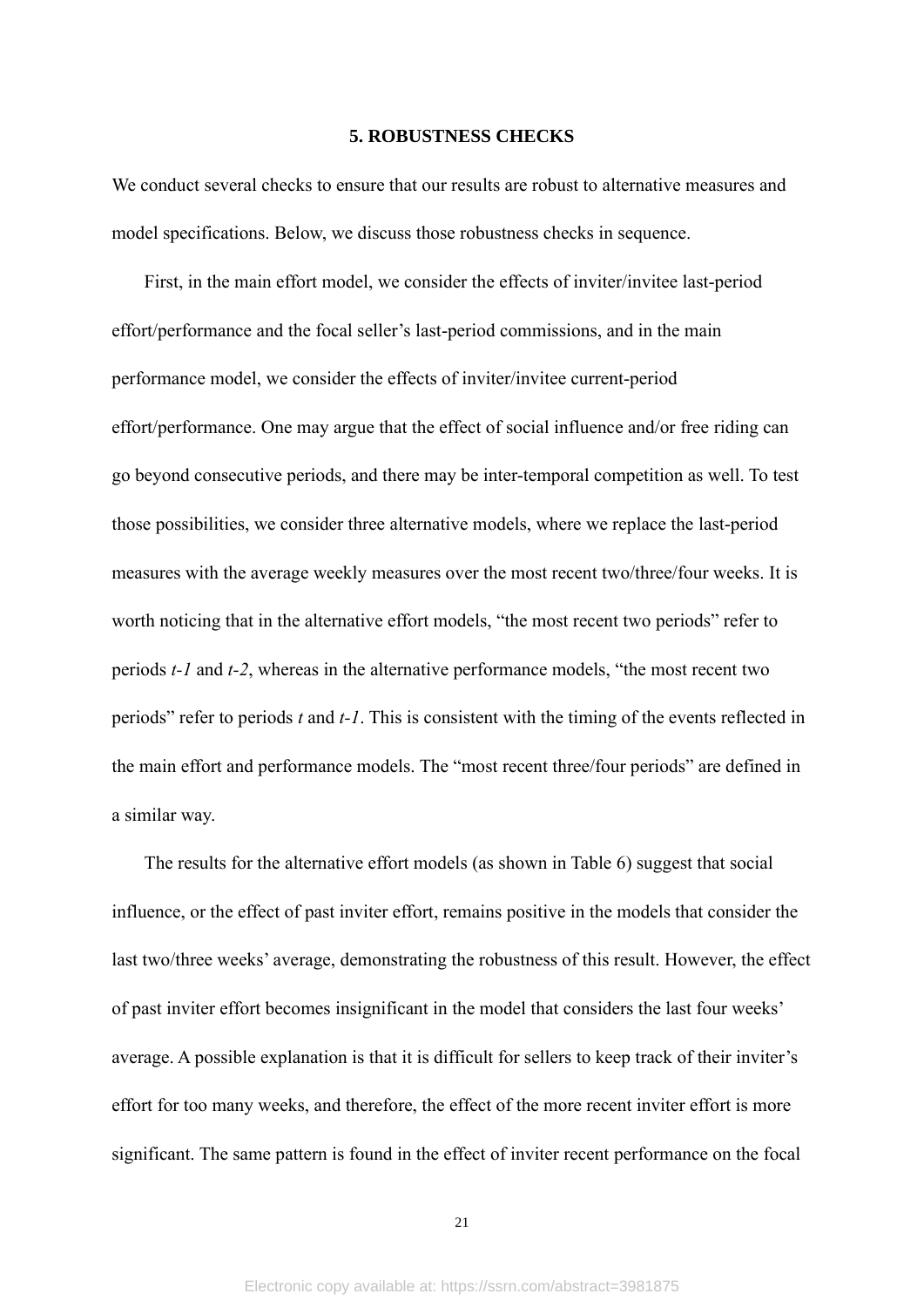#### **5. ROBUSTNESS CHECKS**

We conduct several checks to ensure that our results are robust to alternative measures and model specifications. Below, we discuss those robustness checks in sequence.

First, in the main effort model, we consider the effects of inviter/invitee last-period effort/performance and the focal seller's last-period commissions, and in the main performance model, we consider the effects of inviter/invitee current-period effort/performance. One may argue that the effect of social influence and/or free riding can go beyond consecutive periods, and there may be inter-temporal competition as well. To test those possibilities, we consider three alternative models, where we replace the last-period measures with the average weekly measures over the most recent two/three/four weeks. It is worth noticing that in the alternative effort models, "the most recent two periods" refer to periods *t-1* and *t-2*, whereas in the alternative performance models, "the most recent two periods" refer to periods *t* and *t-1*. This is consistent with the timing of the events reflected in the main effort and performance models. The "most recent three/four periods" are defined in a similar way.

The results for the alternative effort models (as shown in Table 6) suggest that social influence, or the effect of past inviter effort, remains positive in the models that consider the last two/three weeks' average, demonstrating the robustness of this result. However, the effect of past inviter effort becomes insignificant in the model that considers the last four weeks' average. A possible explanation is that it is difficult for sellers to keep track of their inviter's effort for too many weeks, and therefore, the effect of the more recent inviter effort is more significant. The same pattern is found in the effect of inviter recent performance on the focal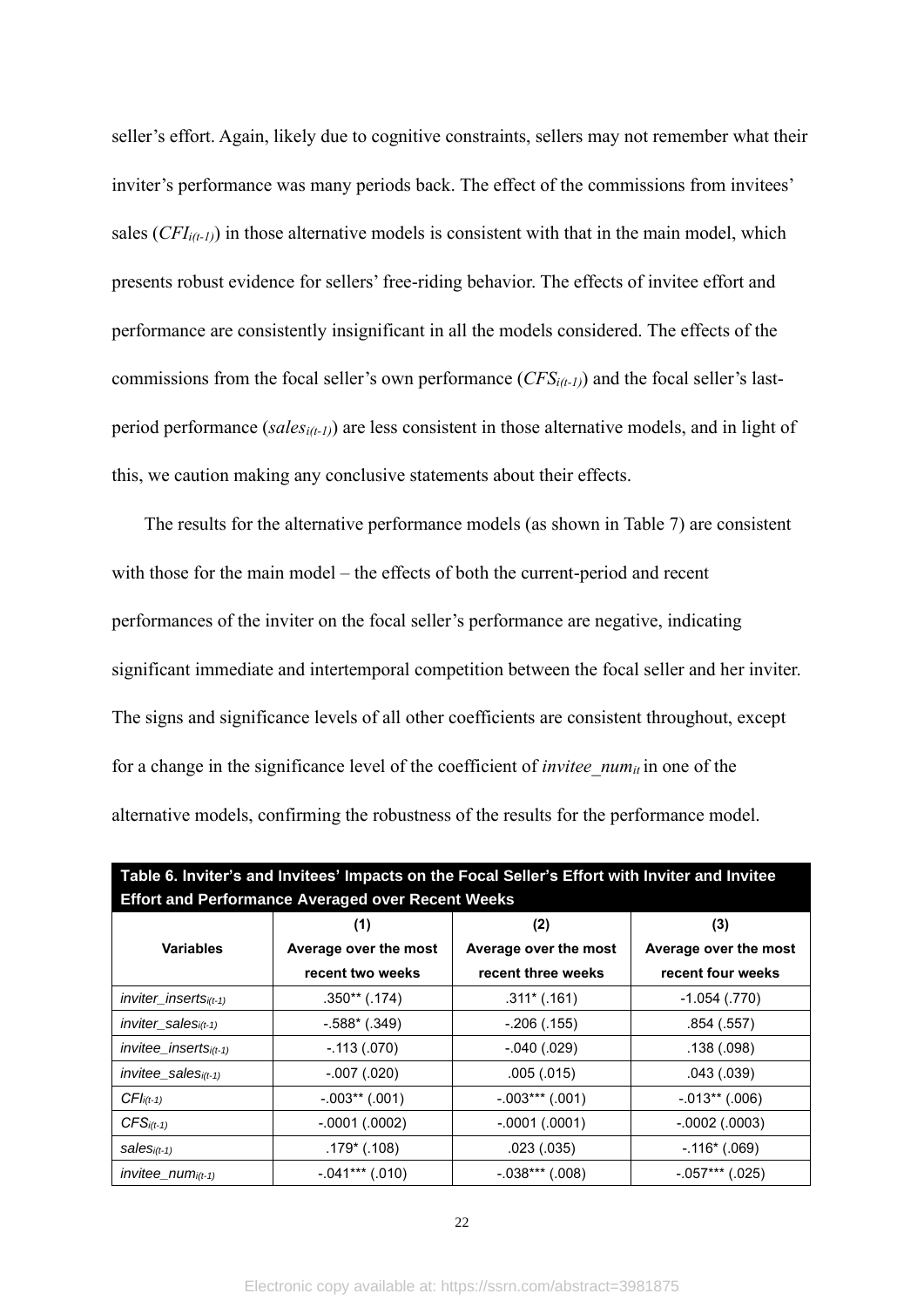seller's effort. Again, likely due to cognitive constraints, sellers may not remember what their inviter's performance was many periods back. The effect of the commissions from invitees' sales (*CFIi(t-1)*) in those alternative models is consistent with that in the main model, which presents robust evidence for sellers' free-riding behavior. The effects of invitee effort and performance are consistently insignificant in all the models considered. The effects of the commissions from the focal seller's own performance (*CFSi(t-1)*) and the focal seller's lastperiod performance (*salesi(t-1)*) are less consistent in those alternative models, and in light of this, we caution making any conclusive statements about their effects.

The results for the alternative performance models (as shown in Table 7) are consistent with those for the main model – the effects of both the current-period and recent performances of the inviter on the focal seller's performance are negative, indicating significant immediate and intertemporal competition between the focal seller and her inviter. The signs and significance levels of all other coefficients are consistent throughout, except for a change in the significance level of the coefficient of *invitee\_numit* in one of the alternative models, confirming the robustness of the results for the performance model.

| <b>Effort and Performance Averaged over Recent Weeks</b> |                       |                       |                       |  |  |  |
|----------------------------------------------------------|-----------------------|-----------------------|-----------------------|--|--|--|
|                                                          | (1)                   | (2)                   | (3)                   |  |  |  |
| <b>Variables</b>                                         | Average over the most | Average over the most | Average over the most |  |  |  |
|                                                          | recent two weeks      | recent three weeks    | recent four weeks     |  |  |  |
| inviter inserts $i(t-1)$                                 | $.350**$ (.174)       | $.311*(.161)$         | $-1.054$ (.770)       |  |  |  |
| $inviter$ sales $i(t-1)$                                 | $-.588*(.349)$        | $-.206(.155)$         | .854(.557)            |  |  |  |
| $invitee$ inserts $i(t-1)$                               | $-.113(.070)$         | $-.040(.029)$         | .138(.098)            |  |  |  |
| $invitee$ sales $i(t-1)$                                 | $-.007(.020)$         | .005(.015)            | .043(.039)            |  |  |  |
| $CFIi(t-1)$                                              | $-.003**(.001)$       | $-.003***(.001)$      | $-0.013**$ (.006)     |  |  |  |
| $CFS$ <sub>i(t-1)</sub>                                  | $-.0001(.0002)$       | $-.0001(.0001)$       | $-0002$ (.0003)       |  |  |  |
| $sales_{i(t-1)}$                                         | $.179*(.108)$         | .023(.035)            | $-.116*(.069)$        |  |  |  |
| $invitee_$ <i>num</i> <sub><math>i(t-1)</math></sub>     | $-.041***$ (.010)     | $-.038***(.008)$      | $-.057***$ (.025)     |  |  |  |

**Table 6. Inviter's and Invitees' Impacts on the Focal Seller's Effort with Inviter and Invitee**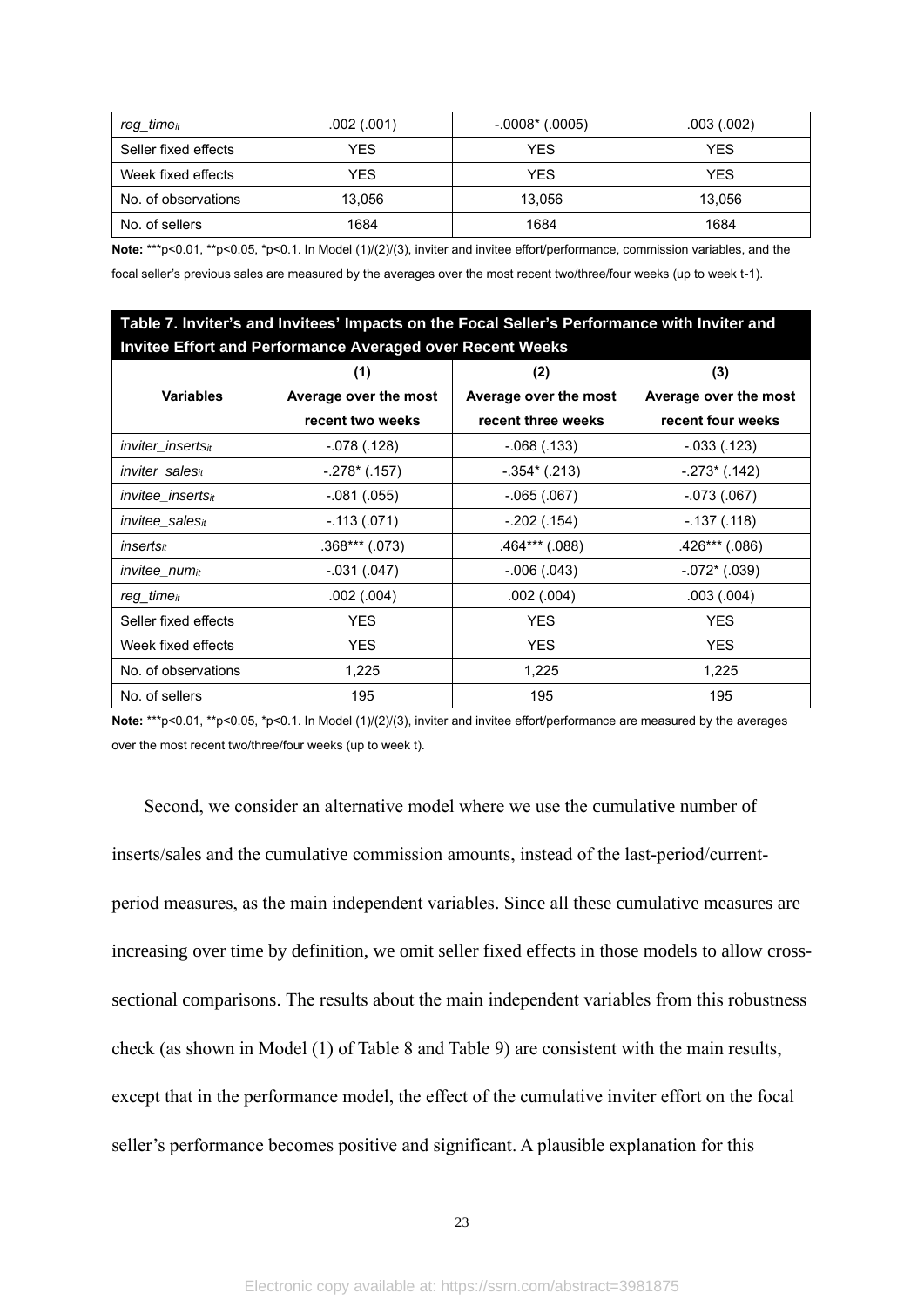| reg time <sub>it</sub> | .002(.001) | $-.0008$ $^*$ (.0005) | .003(.002) |
|------------------------|------------|-----------------------|------------|
| Seller fixed effects   | YES        | <b>YES</b>            | YES        |
| Week fixed effects     | YES        | <b>YES</b>            | YES.       |
| No. of observations    | 13.056     | 13.056                | 13,056     |
| No. of sellers         | 1684       | 1684                  | 1684       |

**Note:** \*\*\*p<0.01, \*\*p<0.05, \*p<0.1. In Model (1)/(2)/(3), inviter and invitee effort/performance, commission variables, and the focal seller's previous sales are measured by the averages over the most recent two/three/four weeks (up to week t-1).

| Table 7. Inviter's and Invitees' Impacts on the Focal Seller's Performance with Inviter and |                       |                       |                       |  |  |  |
|---------------------------------------------------------------------------------------------|-----------------------|-----------------------|-----------------------|--|--|--|
| <b>Invitee Effort and Performance Averaged over Recent Weeks</b>                            |                       |                       |                       |  |  |  |
|                                                                                             | (1)                   | (2)                   | (3)                   |  |  |  |
| <b>Variables</b>                                                                            | Average over the most | Average over the most | Average over the most |  |  |  |
|                                                                                             | recent two weeks      | recent three weeks    | recent four weeks     |  |  |  |
| <i>inviter inserts<sub>it</sub></i>                                                         | $-0.078(0.128)$       | $-.068(.133)$         | $-0.033(0.123)$       |  |  |  |
| <i>inviter</i> sales <sub>it</sub>                                                          | $-.278*(.157)$        | $-.354*(.213)$        | $-.273$ (.142)        |  |  |  |
| <i>invitee insertsit</i>                                                                    | $-.081(.055)$         | $-.065(.067)$         | $-073(067)$           |  |  |  |
| <i>invitee</i> sales <sub>it</sub>                                                          | $-.113(.071)$         | $-.202(.154)$         | $-0.137(0.118)$       |  |  |  |
| inserts <sub>it</sub>                                                                       | $.368***(.073)$       | $.464***$ $(.088)$    | $.426***$ $(.086)$    |  |  |  |
| invitee_num <sub>it</sub>                                                                   | $-.031(.047)$         | $-.006(.043)$         | $-.072$ * (.039)      |  |  |  |
| $req$ time $it$                                                                             | .002(.004)            | .002(.004)            | .003(.004)            |  |  |  |
| Seller fixed effects                                                                        | <b>YES</b>            | <b>YES</b>            | <b>YES</b>            |  |  |  |
| Week fixed effects                                                                          | <b>YES</b>            | <b>YES</b>            | <b>YES</b>            |  |  |  |
| No. of observations                                                                         | 1,225                 | 1,225                 | 1,225                 |  |  |  |
| No. of sellers                                                                              | 195                   | 195                   | 195                   |  |  |  |

**Note:** \*\*\*p<0.01, \*\*p<0.05, \*p<0.1. In Model (1)/(2)/(3), inviter and invitee effort/performance are measured by the averages over the most recent two/three/four weeks (up to week t).

Second, we consider an alternative model where we use the cumulative number of inserts/sales and the cumulative commission amounts, instead of the last-period/currentperiod measures, as the main independent variables. Since all these cumulative measures are increasing over time by definition, we omit seller fixed effects in those models to allow crosssectional comparisons. The results about the main independent variables from this robustness check (as shown in Model (1) of Table 8 and Table 9) are consistent with the main results, except that in the performance model, the effect of the cumulative inviter effort on the focal seller's performance becomes positive and significant. A plausible explanation for this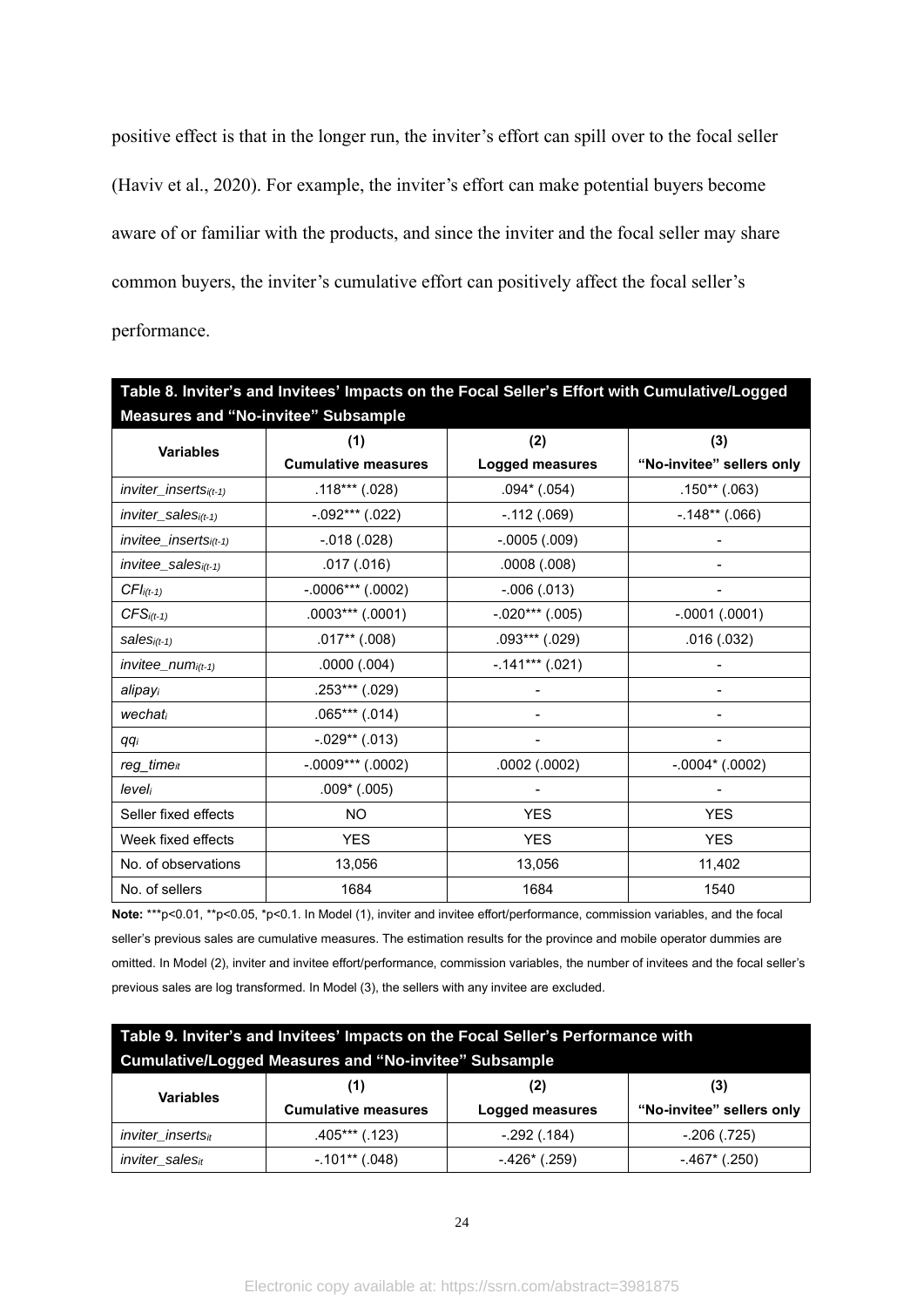positive effect is that in the longer run, the inviter's effort can spill over to the focal seller (Haviv et al., 2020). For example, the inviter's effort can make potential buyers become aware of or familiar with the products, and since the inviter and the focal seller may share common buyers, the inviter's cumulative effort can positively affect the focal seller's performance.

| Table 8. Inviter's and Invitees' Impacts on the Focal Seller's Effort with Cumulative/Logged |                            |                    |                           |  |  |  |
|----------------------------------------------------------------------------------------------|----------------------------|--------------------|---------------------------|--|--|--|
| <b>Measures and "No-invitee" Subsample</b>                                                   |                            |                    |                           |  |  |  |
|                                                                                              | (1)                        | (2)                | (3)                       |  |  |  |
| <b>Variables</b>                                                                             | <b>Cumulative measures</b> | Logged measures    | "No-invitee" sellers only |  |  |  |
| $inviter_insetsi(t-1)$                                                                       | $.118***$ $(.028)$         | $.094*$ $(.054)$   | $.150**$ (.063)           |  |  |  |
| $inviter$ sales $i(t-1)$                                                                     | $-.092***$ (.022)          | $-.112(.069)$      | $-.148**(.066)$           |  |  |  |
| $invitee_{inserts_{i(t-1)}}$                                                                 | $-0.018(0.028)$            | $-0005(009)$       |                           |  |  |  |
| $invitee$ _sales $i(t-1)$                                                                    | .017(.016)                 | .0008(.008)        |                           |  |  |  |
| $CFIi(t-1)$                                                                                  | $-.0006***$ (.0002)        | $-.006(.013)$      |                           |  |  |  |
| $CFS$ <sub>i(t-1)</sub>                                                                      | $.0003***(.0001)$          | $-.020***$ (.005)  | $-.0001(.0001)$           |  |  |  |
| $sales_{i(t-1)}$                                                                             | $.017**(.008)$             | $.093***$ $(.029)$ | .016(.032)                |  |  |  |
| $invitee_$ <i>num</i> <sub><math>i(t-1)</math></sub>                                         | .0000(.004)                | $-.141***(.021)$   |                           |  |  |  |
| alipayi                                                                                      | $.253***$ (.029)           |                    |                           |  |  |  |
| wechati                                                                                      | $.065***$ $(.014)$         |                    |                           |  |  |  |
| qqi                                                                                          | $-.029**(.013)$            |                    |                           |  |  |  |
| $reg\_time_{it}$                                                                             | $-.0009***$ (.0002)        | .0002(.0002)       | $-.0004*(.0002)$          |  |  |  |
| leveli                                                                                       | $.009*$ $(.005)$           |                    |                           |  |  |  |
| Seller fixed effects                                                                         | <b>NO</b>                  | <b>YES</b>         | <b>YES</b>                |  |  |  |
| Week fixed effects                                                                           | <b>YES</b>                 | <b>YES</b>         | <b>YES</b>                |  |  |  |
| No. of observations                                                                          | 13,056                     | 13,056             | 11,402                    |  |  |  |
| No. of sellers                                                                               | 1684                       | 1684               | 1540                      |  |  |  |

Note: \*\*\*p<0.01, \*\*p<0.05, \*p<0.1. In Model (1), inviter and invitee effort/performance, commission variables, and the focal seller's previous sales are cumulative measures. The estimation results for the province and mobile operator dummies are omitted. In Model (2), inviter and invitee effort/performance, commission variables, the number of invitees and the focal seller's previous sales are log transformed. In Model (3), the sellers with any invitee are excluded.

| Table 9. Inviter's and Invitees' Impacts on the Focal Seller's Performance with |                                                              |                        |                           |  |  |
|---------------------------------------------------------------------------------|--------------------------------------------------------------|------------------------|---------------------------|--|--|
|                                                                                 | <b>Cumulative/Logged Measures and "No-invitee" Subsample</b> |                        |                           |  |  |
| <b>Variables</b>                                                                | (3)                                                          |                        |                           |  |  |
|                                                                                 | <b>Cumulative measures</b>                                   | <b>Logged measures</b> | "No-invitee" sellers only |  |  |
| inviter_insertsit                                                               | $.405***$ (.123)                                             | $-.292(.184)$          | $-.206(.725)$             |  |  |
| inviter_salesit                                                                 | $-101**$ (.048)                                              | $-.426*(.259)$         | $-.467$ (.250)            |  |  |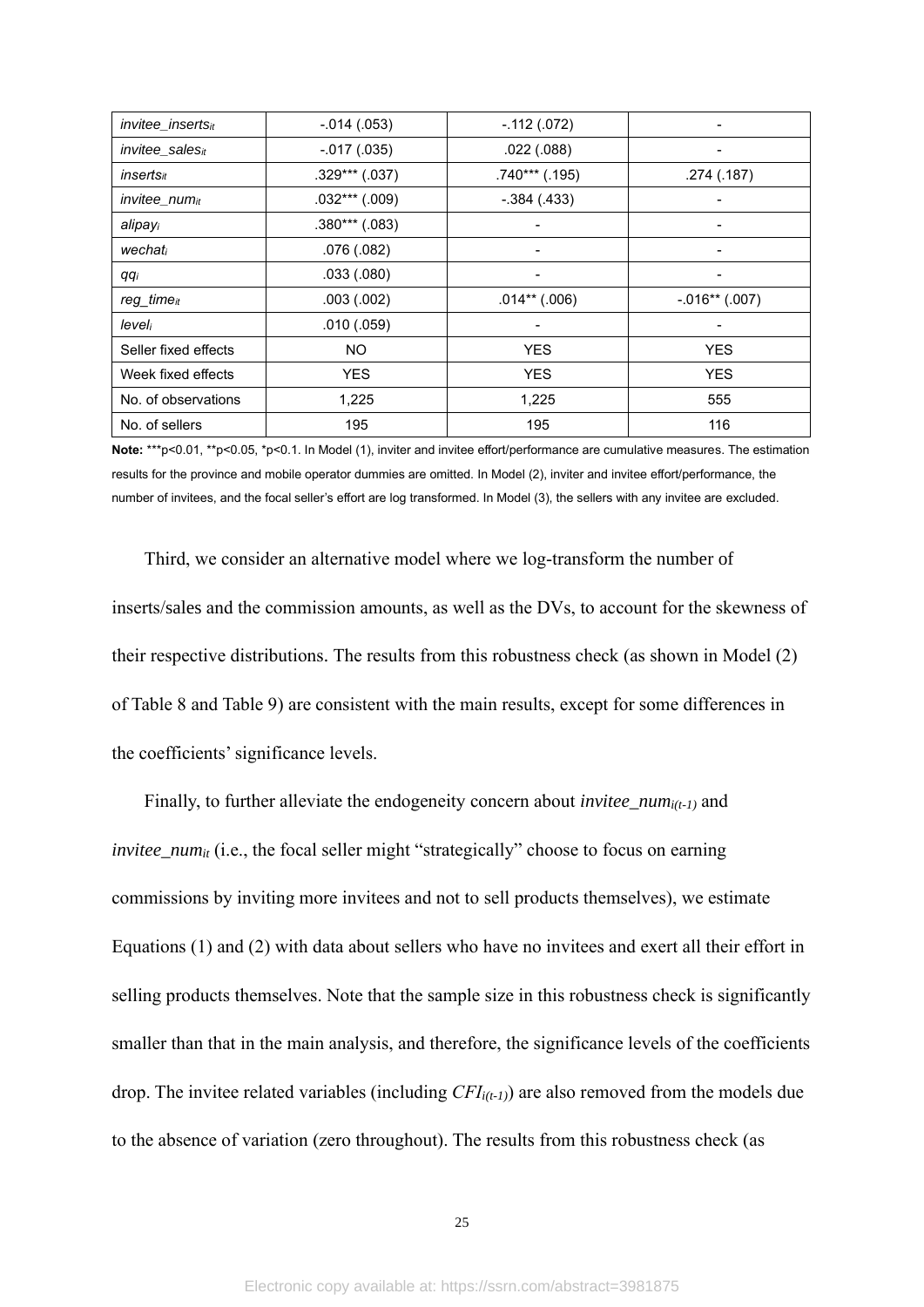| invitee_insertsit               | $-.014(.053)$      | $-.112(.072)$    |                 |
|---------------------------------|--------------------|------------------|-----------------|
| invitee_salesit                 | $-.017(.035)$      | .022(.088)       |                 |
| <i>inserts#</i>                 | $.329***$ $(.037)$ | $.740***$ (.195) | .274(.187)      |
| <i>invitee_num</i> <sup>t</sup> | $.032***$ $(.009)$ | $-.384(.433)$    |                 |
| alipayi                         | $.380***$ $(.083)$ |                  |                 |
| wechati                         | .076(.082)         |                  |                 |
| qqi                             | .033(.080)         |                  |                 |
| reg_time <sub>it</sub>          | .003(.002)         | $.014**$ (.006)  | $-.016**(.007)$ |
| leveli                          | .010(.059)         |                  |                 |
| Seller fixed effects            | <b>NO</b>          | <b>YES</b>       | <b>YES</b>      |
| Week fixed effects              | <b>YES</b>         | <b>YES</b>       | <b>YES</b>      |
| No. of observations             | 1,225              | 1,225            | 555             |
| No. of sellers                  | 195                | 195              | 116             |

**Note:** \*\*\*p<0.01, \*\*p<0.05, \*p<0.1. In Model (1), inviter and invitee effort/performance are cumulative measures. The estimation results for the province and mobile operator dummies are omitted. In Model (2), inviter and invitee effort/performance, the number of invitees, and the focal seller's effort are log transformed. In Model (3), the sellers with any invitee are excluded.

Third, we consider an alternative model where we log-transform the number of inserts/sales and the commission amounts, as well as the DVs, to account for the skewness of their respective distributions. The results from this robustness check (as shown in Model (2) of Table 8 and Table 9) are consistent with the main results, except for some differences in the coefficients' significance levels.

Finally, to further alleviate the endogeneity concern about *invitee\_numi(t-1)* and *invitee\_num<sub>it</sub>* (i.e., the focal seller might "strategically" choose to focus on earning commissions by inviting more invitees and not to sell products themselves), we estimate Equations (1) and (2) with data about sellers who have no invitees and exert all their effort in selling products themselves. Note that the sample size in this robustness check is significantly smaller than that in the main analysis, and therefore, the significance levels of the coefficients drop. The invitee related variables (including *CFIi(t-1)*) are also removed from the models due to the absence of variation (zero throughout). The results from this robustness check (as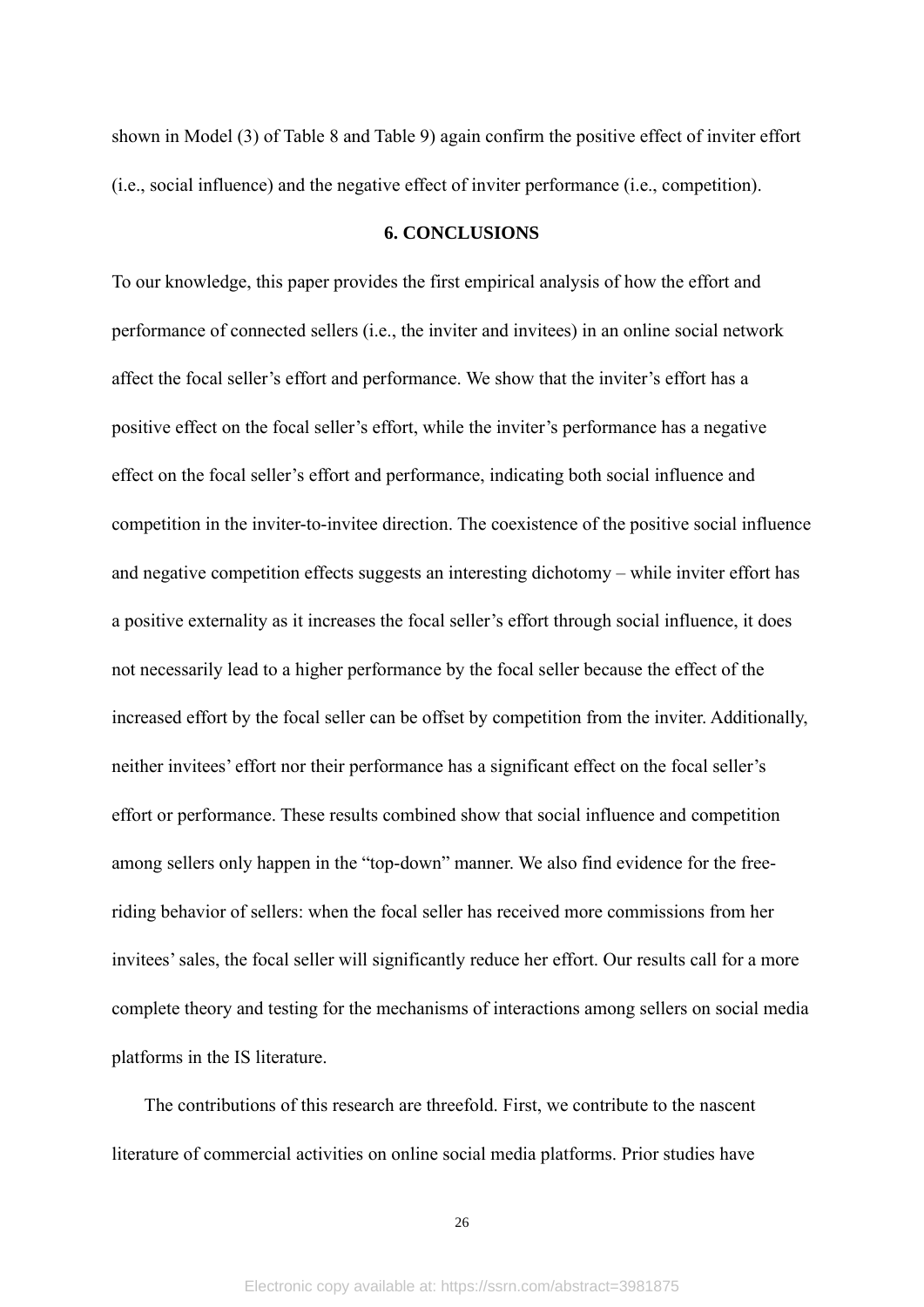shown in Model (3) of Table 8 and Table 9) again confirm the positive effect of inviter effort (i.e., social influence) and the negative effect of inviter performance (i.e., competition).

#### **6. CONCLUSIONS**

To our knowledge, this paper provides the first empirical analysis of how the effort and performance of connected sellers (i.e., the inviter and invitees) in an online social network affect the focal seller's effort and performance. We show that the inviter's effort has a positive effect on the focal seller's effort, while the inviter's performance has a negative effect on the focal seller's effort and performance, indicating both social influence and competition in the inviter-to-invitee direction. The coexistence of the positive social influence and negative competition effects suggests an interesting dichotomy – while inviter effort has a positive externality as it increases the focal seller's effort through social influence, it does not necessarily lead to a higher performance by the focal seller because the effect of the increased effort by the focal seller can be offset by competition from the inviter. Additionally, neither invitees' effort nor their performance has a significant effect on the focal seller's effort or performance. These results combined show that social influence and competition among sellers only happen in the "top-down" manner. We also find evidence for the freeriding behavior of sellers: when the focal seller has received more commissions from her invitees' sales, the focal seller will significantly reduce her effort. Our results call for a more complete theory and testing for the mechanisms of interactions among sellers on social media platforms in the IS literature.

The contributions of this research are threefold. First, we contribute to the nascent literature of commercial activities on online social media platforms. Prior studies have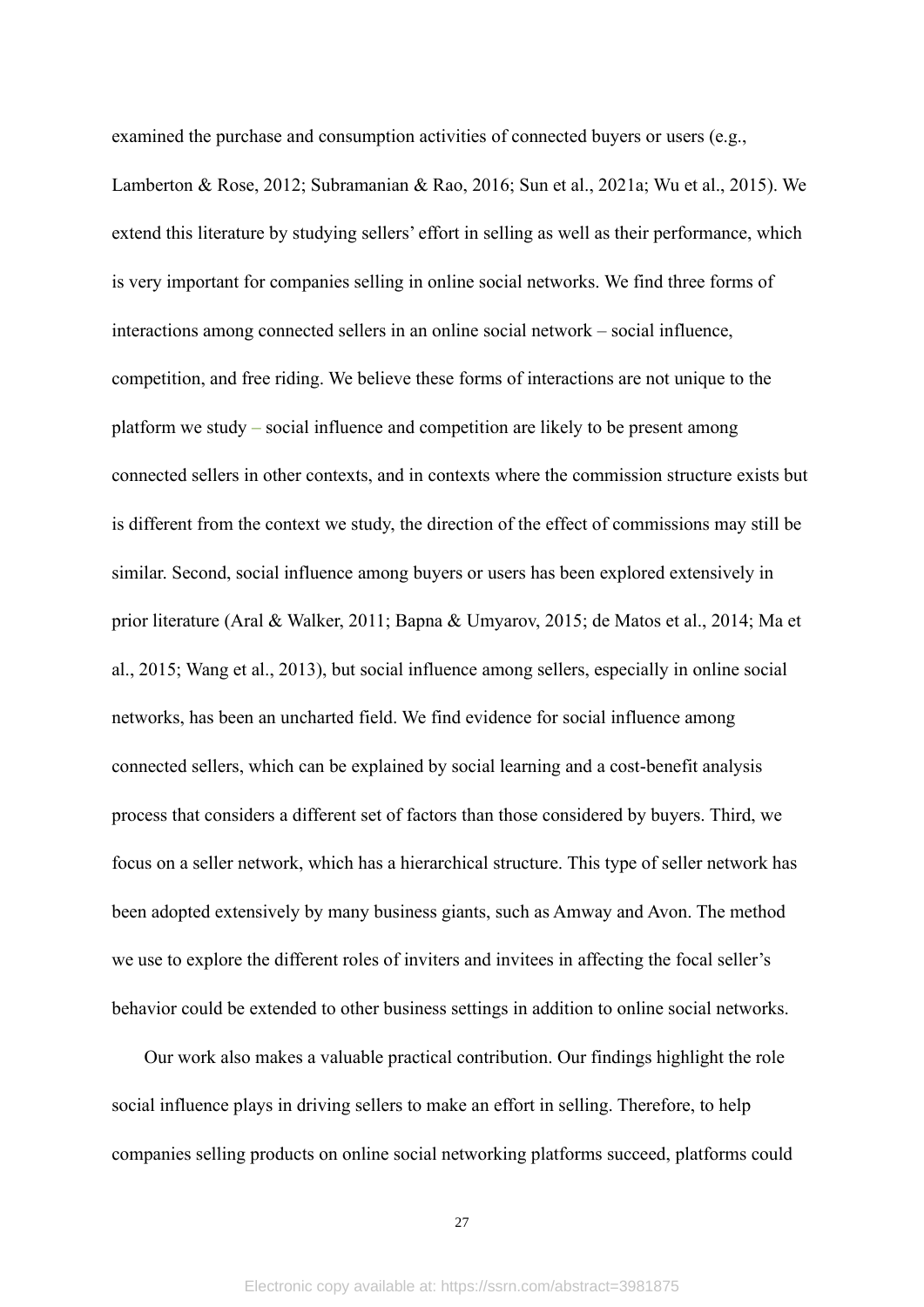examined the purchase and consumption activities of connected buyers or users (e.g., Lamberton & Rose, 2012; Subramanian & Rao, 2016; Sun et al., 2021a; Wu et al., 2015). We extend this literature by studying sellers' effort in selling as well as their performance, which is very important for companies selling in online social networks. We find three forms of interactions among connected sellers in an online social network – social influence, competition, and free riding. We believe these forms of interactions are not unique to the platform we study – social influence and competition are likely to be present among connected sellers in other contexts, and in contexts where the commission structure exists but is different from the context we study, the direction of the effect of commissions may still be similar. Second, social influence among buyers or users has been explored extensively in prior literature (Aral & Walker, 2011; Bapna & Umyarov, 2015; de Matos et al., 2014; Ma et al., 2015; Wang et al., 2013), but social influence among sellers, especially in online social networks, has been an uncharted field. We find evidence for social influence among connected sellers, which can be explained by social learning and a cost-benefit analysis process that considers a different set of factors than those considered by buyers. Third, we focus on a seller network, which has a hierarchical structure. This type of seller network has been adopted extensively by many business giants, such as Amway and Avon. The method we use to explore the different roles of inviters and invitees in affecting the focal seller's behavior could be extended to other business settings in addition to online social networks.

Our work also makes a valuable practical contribution. Our findings highlight the role social influence plays in driving sellers to make an effort in selling. Therefore, to help companies selling products on online social networking platforms succeed, platforms could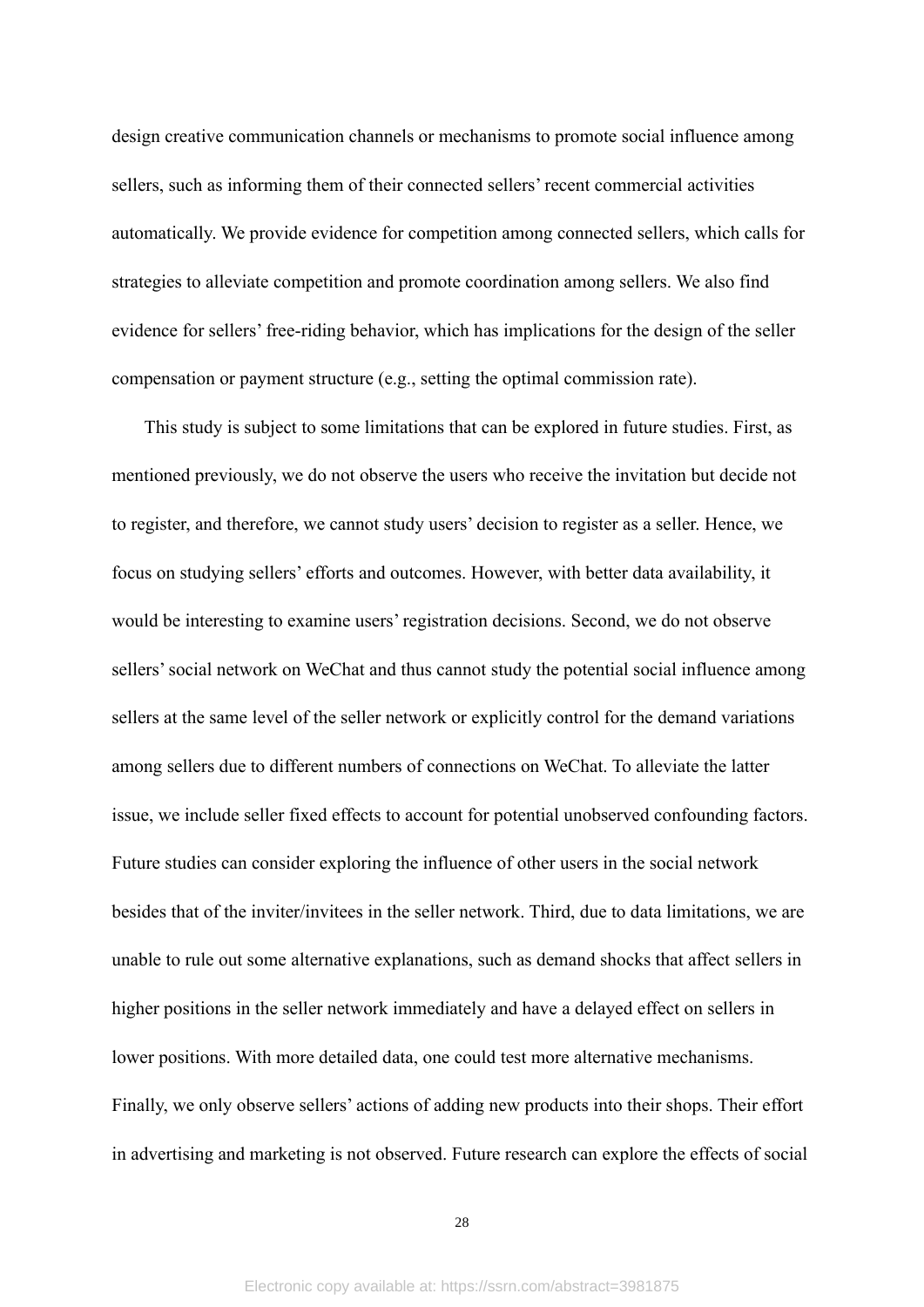design creative communication channels or mechanisms to promote social influence among sellers, such as informing them of their connected sellers' recent commercial activities automatically. We provide evidence for competition among connected sellers, which calls for strategies to alleviate competition and promote coordination among sellers. We also find evidence for sellers' free-riding behavior, which has implications for the design of the seller compensation or payment structure (e.g., setting the optimal commission rate).

This study is subject to some limitations that can be explored in future studies. First, as mentioned previously, we do not observe the users who receive the invitation but decide not to register, and therefore, we cannot study users' decision to register as a seller. Hence, we focus on studying sellers' efforts and outcomes. However, with better data availability, it would be interesting to examine users' registration decisions. Second, we do not observe sellers' social network on WeChat and thus cannot study the potential social influence among sellers at the same level of the seller network or explicitly control for the demand variations among sellers due to different numbers of connections on WeChat. To alleviate the latter issue, we include seller fixed effects to account for potential unobserved confounding factors. Future studies can consider exploring the influence of other users in the social network besides that of the inviter/invitees in the seller network. Third, due to data limitations, we are unable to rule out some alternative explanations, such as demand shocks that affect sellers in higher positions in the seller network immediately and have a delayed effect on sellers in lower positions. With more detailed data, one could test more alternative mechanisms. Finally, we only observe sellers' actions of adding new products into their shops. Their effort in advertising and marketing is not observed. Future research can explore the effects of social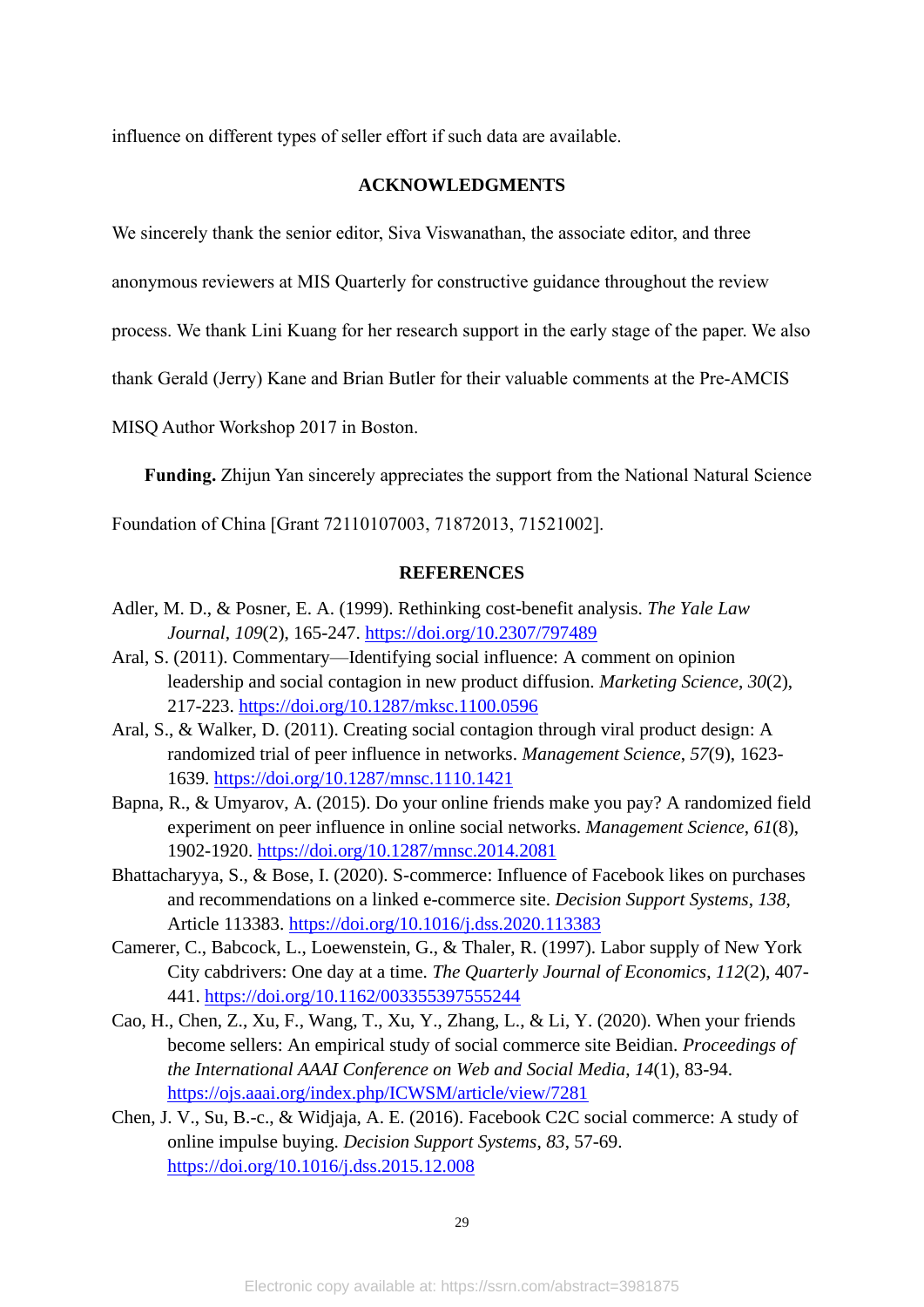influence on different types of seller effort if such data are available.

#### **ACKNOWLEDGMENTS**

We sincerely thank the senior editor, Siva Viswanathan, the associate editor, and three

anonymous reviewers at MIS Quarterly for constructive guidance throughout the review

process. We thank Lini Kuang for her research support in the early stage of the paper. We also

thank Gerald (Jerry) Kane and Brian Butler for their valuable comments at the Pre-AMCIS

MISQ Author Workshop 2017 in Boston.

**Funding.** Zhijun Yan sincerely appreciates the support from the National Natural Science

Foundation of China [Grant 72110107003, 71872013, 71521002].

## **REFERENCES**

- Adler, M. D., & Posner, E. A. (1999). Rethinking cost-benefit analysis. *The Yale Law Journal*, *109*(2), 165-247.<https://doi.org/10.2307/797489>
- Aral, S. (2011). Commentary—Identifying social influence: A comment on opinion leadership and social contagion in new product diffusion. *Marketing Science*, *30*(2), 217-223.<https://doi.org/10.1287/mksc.1100.0596>
- Aral, S., & Walker, D. (2011). Creating social contagion through viral product design: A randomized trial of peer influence in networks. *Management Science*, *57*(9), 1623- 1639.<https://doi.org/10.1287/mnsc.1110.1421>
- Bapna, R., & Umyarov, A. (2015). Do your online friends make you pay? A randomized field experiment on peer influence in online social networks. *Management Science*, *61*(8), 1902-1920.<https://doi.org/10.1287/mnsc.2014.2081>
- Bhattacharyya, S., & Bose, I. (2020). S-commerce: Influence of Facebook likes on purchases and recommendations on a linked e-commerce site. *Decision Support Systems*, *138*, Article 113383.<https://doi.org/10.1016/j.dss.2020.113383>
- Camerer, C., Babcock, L., Loewenstein, G., & Thaler, R. (1997). Labor supply of New York City cabdrivers: One day at a time. *The Quarterly Journal of Economics*, *112*(2), 407- 441.<https://doi.org/10.1162/003355397555244>
- Cao, H., Chen, Z., Xu, F., Wang, T., Xu, Y., Zhang, L., & Li, Y. (2020). When your friends become sellers: An empirical study of social commerce site Beidian. *Proceedings of the International AAAI Conference on Web and Social Media*, *14*(1), 83-94. <https://ojs.aaai.org/index.php/ICWSM/article/view/7281>
- Chen, J. V., Su, B.-c., & Widjaja, A. E. (2016). Facebook C2C social commerce: A study of online impulse buying. *Decision Support Systems*, *83*, 57-69. <https://doi.org/10.1016/j.dss.2015.12.008>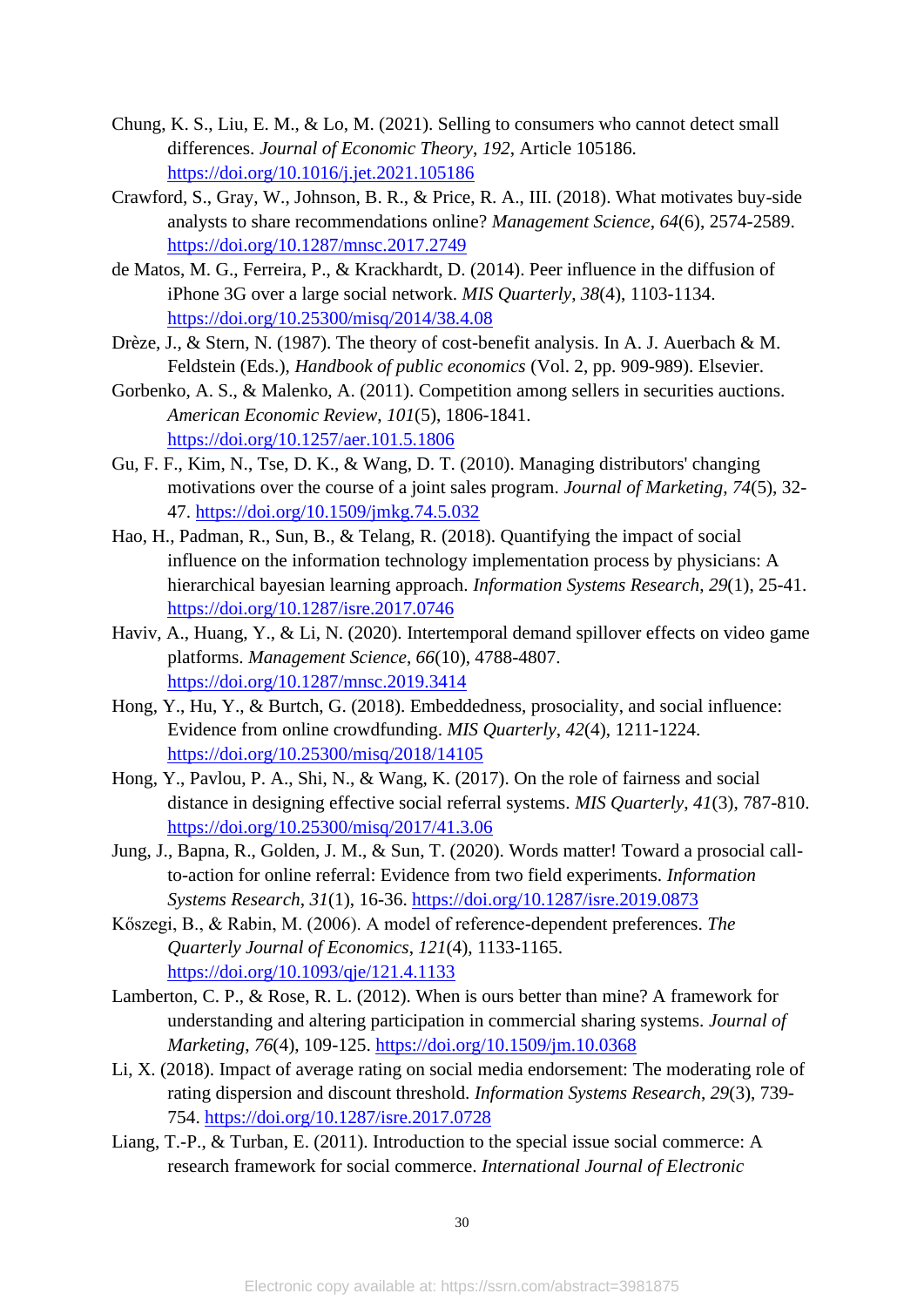- Chung, K. S., Liu, E. M., & Lo, M. (2021). Selling to consumers who cannot detect small differences. *Journal of Economic Theory*, *192*, Article 105186. <https://doi.org/10.1016/j.jet.2021.105186>
- Crawford, S., Gray, W., Johnson, B. R., & Price, R. A., III. (2018). What motivates buy-side analysts to share recommendations online? *Management Science*, *64*(6), 2574-2589. <https://doi.org/10.1287/mnsc.2017.2749>
- de Matos, M. G., Ferreira, P., & Krackhardt, D. (2014). Peer influence in the diffusion of iPhone 3G over a large social network. *MIS Quarterly*, *38*(4), 1103-1134. <https://doi.org/10.25300/misq/2014/38.4.08>
- Drèze, J., & Stern, N. (1987). The theory of cost-benefit analysis. In A. J. Auerbach & M. Feldstein (Eds.), *Handbook of public economics* (Vol. 2, pp. 909-989). Elsevier.
- Gorbenko, A. S., & Malenko, A. (2011). Competition among sellers in securities auctions. *American Economic Review*, *101*(5), 1806-1841. <https://doi.org/10.1257/aer.101.5.1806>
- Gu, F. F., Kim, N., Tse, D. K., & Wang, D. T. (2010). Managing distributors' changing motivations over the course of a joint sales program. *Journal of Marketing*, *74*(5), 32- 47.<https://doi.org/10.1509/jmkg.74.5.032>
- Hao, H., Padman, R., Sun, B., & Telang, R. (2018). Quantifying the impact of social influence on the information technology implementation process by physicians: A hierarchical bayesian learning approach. *Information Systems Research*, *29*(1), 25-41. <https://doi.org/10.1287/isre.2017.0746>
- Haviv, A., Huang, Y., & Li, N. (2020). Intertemporal demand spillover effects on video game platforms. *Management Science*, *66*(10), 4788-4807. <https://doi.org/10.1287/mnsc.2019.3414>
- Hong, Y., Hu, Y., & Burtch, G. (2018). Embeddedness, prosociality, and social influence: Evidence from online crowdfunding. *MIS Quarterly*, *42*(4), 1211-1224. <https://doi.org/10.25300/misq/2018/14105>
- Hong, Y., Pavlou, P. A., Shi, N., & Wang, K. (2017). On the role of fairness and social distance in designing effective social referral systems. *MIS Quarterly*, *41*(3), 787-810. <https://doi.org/10.25300/misq/2017/41.3.06>
- Jung, J., Bapna, R., Golden, J. M., & Sun, T. (2020). Words matter! Toward a prosocial callto-action for online referral: Evidence from two field experiments. *Information Systems Research*, *31*(1), 16-36.<https://doi.org/10.1287/isre.2019.0873>
- Kőszegi, B., & Rabin, M. (2006). A model of reference-dependent preferences. *The Quarterly Journal of Economics*, *121*(4), 1133-1165. <https://doi.org/10.1093/qje/121.4.1133>
- Lamberton, C. P., & Rose, R. L. (2012). When is ours better than mine? A framework for understanding and altering participation in commercial sharing systems. *Journal of Marketing*, *76*(4), 109-125.<https://doi.org/10.1509/jm.10.0368>
- Li, X. (2018). Impact of average rating on social media endorsement: The moderating role of rating dispersion and discount threshold. *Information Systems Research*, *29*(3), 739- 754.<https://doi.org/10.1287/isre.2017.0728>
- Liang, T.-P., & Turban, E. (2011). Introduction to the special issue social commerce: A research framework for social commerce. *International Journal of Electronic*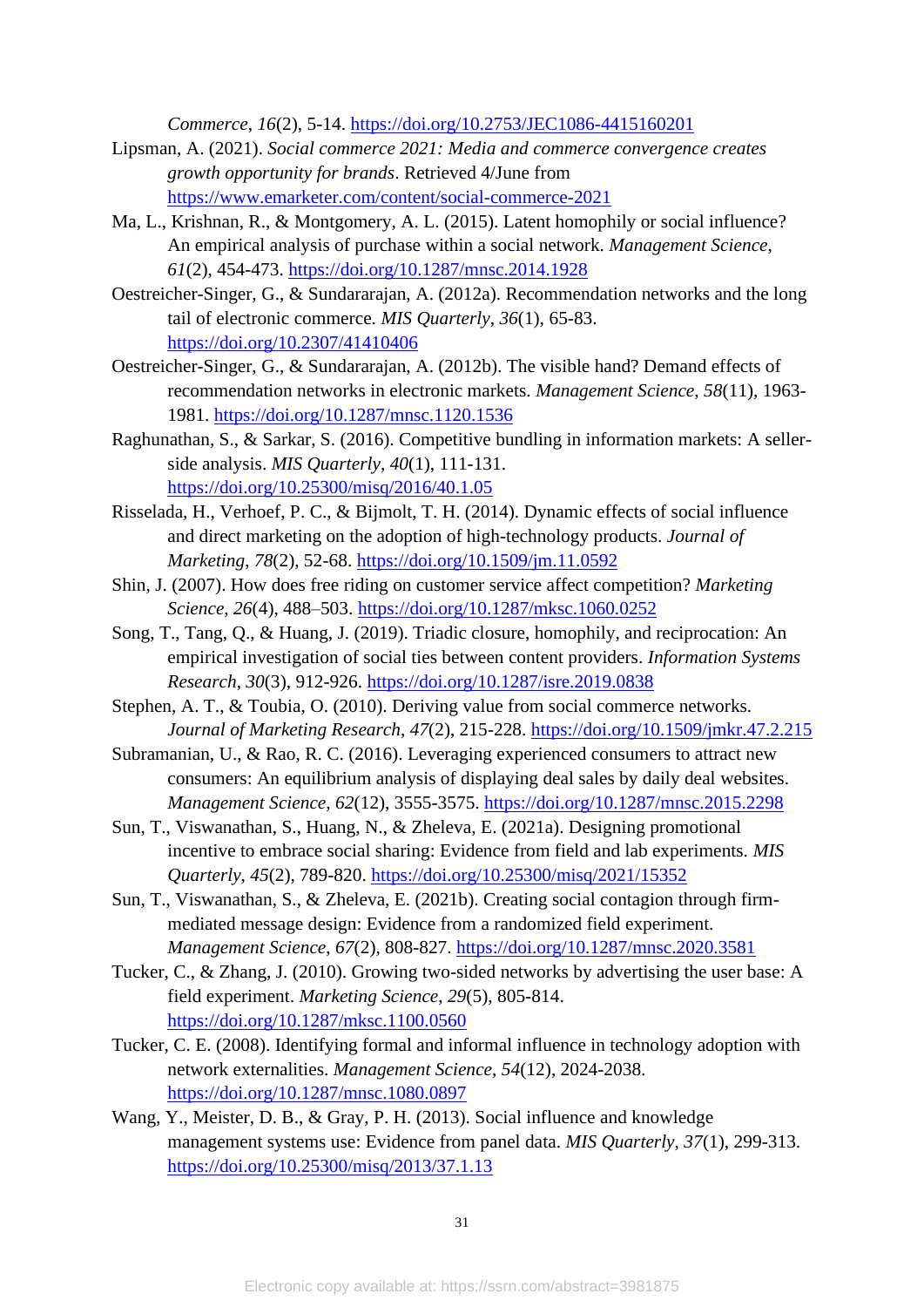*Commerce*, *16*(2), 5-14.<https://doi.org/10.2753/JEC1086-4415160201>

- Lipsman, A. (2021). *Social commerce 2021: Media and commerce convergence creates growth opportunity for brands*. Retrieved 4/June from <https://www.emarketer.com/content/social-commerce-2021>
- Ma, L., Krishnan, R., & Montgomery, A. L. (2015). Latent homophily or social influence? An empirical analysis of purchase within a social network. *Management Science*, *61*(2), 454-473.<https://doi.org/10.1287/mnsc.2014.1928>
- Oestreicher-Singer, G., & Sundararajan, A. (2012a). Recommendation networks and the long tail of electronic commerce. *MIS Quarterly*, *36*(1), 65-83. <https://doi.org/10.2307/41410406>
- Oestreicher-Singer, G., & Sundararajan, A. (2012b). The visible hand? Demand effects of recommendation networks in electronic markets. *Management Science*, *58*(11), 1963- 1981.<https://doi.org/10.1287/mnsc.1120.1536>
- Raghunathan, S., & Sarkar, S. (2016). Competitive bundling in information markets: A sellerside analysis. *MIS Quarterly*, *40*(1), 111-131. <https://doi.org/10.25300/misq/2016/40.1.05>
- Risselada, H., Verhoef, P. C., & Bijmolt, T. H. (2014). Dynamic effects of social influence and direct marketing on the adoption of high-technology products. *Journal of Marketing*, *78*(2), 52-68.<https://doi.org/10.1509/jm.11.0592>
- Shin, J. (2007). How does free riding on customer service affect competition? *Marketing Science*, *26*(4), 488–503.<https://doi.org/10.1287/mksc.1060.0252>
- Song, T., Tang, Q., & Huang, J. (2019). Triadic closure, homophily, and reciprocation: An empirical investigation of social ties between content providers. *Information Systems Research*, *30*(3), 912-926.<https://doi.org/10.1287/isre.2019.0838>
- Stephen, A. T., & Toubia, O. (2010). Deriving value from social commerce networks. *Journal of Marketing Research*, *47*(2), 215-228.<https://doi.org/10.1509/jmkr.47.2.215>
- Subramanian, U., & Rao, R. C. (2016). Leveraging experienced consumers to attract new consumers: An equilibrium analysis of displaying deal sales by daily deal websites. *Management Science*, *62*(12), 3555-3575.<https://doi.org/10.1287/mnsc.2015.2298>
- Sun, T., Viswanathan, S., Huang, N., & Zheleva, E. (2021a). Designing promotional incentive to embrace social sharing: Evidence from field and lab experiments. *MIS Quarterly*, *45*(2), 789-820.<https://doi.org/10.25300/misq/2021/15352>
- Sun, T., Viswanathan, S., & Zheleva, E. (2021b). Creating social contagion through firmmediated message design: Evidence from a randomized field experiment. *Management Science*, *67*(2), 808-827.<https://doi.org/10.1287/mnsc.2020.3581>
- Tucker, C., & Zhang, J. (2010). Growing two-sided networks by advertising the user base: A field experiment. *Marketing Science*, *29*(5), 805-814. <https://doi.org/10.1287/mksc.1100.0560>
- Tucker, C. E. (2008). Identifying formal and informal influence in technology adoption with network externalities. *Management Science*, *54*(12), 2024-2038. <https://doi.org/10.1287/mnsc.1080.0897>
- Wang, Y., Meister, D. B., & Gray, P. H. (2013). Social influence and knowledge management systems use: Evidence from panel data. *MIS Quarterly*, *37*(1), 299-313. <https://doi.org/10.25300/misq/2013/37.1.13>